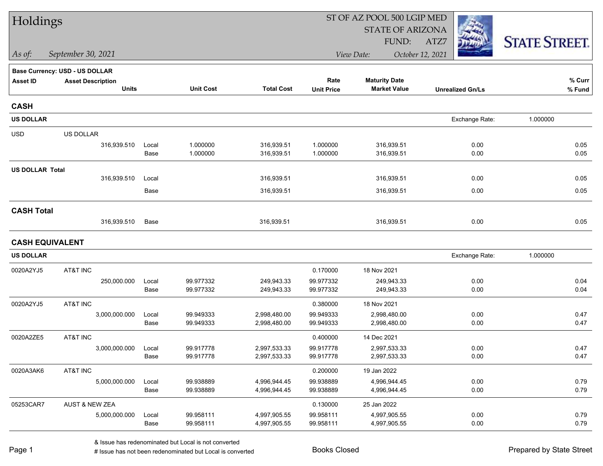| Holdings               |                                       |       |                  |                   |                   | ST OF AZ POOL 500 LGIP MED |                         |                      |  |
|------------------------|---------------------------------------|-------|------------------|-------------------|-------------------|----------------------------|-------------------------|----------------------|--|
|                        |                                       |       |                  |                   |                   | <b>STATE OF ARIZONA</b>    |                         |                      |  |
|                        |                                       |       |                  |                   |                   | FUND:                      | ATZ7                    | <b>STATE STREET.</b> |  |
| As of:                 | September 30, 2021                    |       |                  |                   | View Date:        |                            | October 12, 2021        |                      |  |
|                        | <b>Base Currency: USD - US DOLLAR</b> |       |                  |                   |                   |                            |                         |                      |  |
| <b>Asset ID</b>        | <b>Asset Description</b>              |       |                  |                   | Rate              | <b>Maturity Date</b>       |                         | $%$ Curr             |  |
|                        | <b>Units</b>                          |       | <b>Unit Cost</b> | <b>Total Cost</b> | <b>Unit Price</b> | <b>Market Value</b>        | <b>Unrealized Gn/Ls</b> | % Fund               |  |
| <b>CASH</b>            |                                       |       |                  |                   |                   |                            |                         |                      |  |
| <b>US DOLLAR</b>       |                                       |       |                  |                   |                   |                            | Exchange Rate:          | 1.000000             |  |
| <b>USD</b>             | US DOLLAR                             |       |                  |                   |                   |                            |                         |                      |  |
|                        | 316,939.510                           | Local | 1.000000         | 316,939.51        | 1.000000          | 316,939.51                 | 0.00                    | 0.05                 |  |
|                        |                                       | Base  | 1.000000         | 316,939.51        | 1.000000          | 316,939.51                 | 0.00                    | 0.05                 |  |
| <b>US DOLLAR Total</b> |                                       |       |                  |                   |                   |                            |                         |                      |  |
|                        | 316,939.510                           | Local |                  | 316,939.51        |                   | 316,939.51                 | 0.00                    | 0.05                 |  |
|                        |                                       | Base  |                  | 316,939.51        |                   | 316,939.51                 | 0.00                    | 0.05                 |  |
| <b>CASH Total</b>      |                                       |       |                  |                   |                   |                            |                         |                      |  |
|                        | 316,939.510                           | Base  |                  | 316,939.51        |                   | 316,939.51                 | 0.00                    | 0.05                 |  |
|                        | <b>CASH EQUIVALENT</b>                |       |                  |                   |                   |                            |                         |                      |  |
| <b>US DOLLAR</b>       |                                       |       |                  |                   |                   |                            | Exchange Rate:          | 1.000000             |  |
| 0020A2YJ5              | AT&T INC                              |       |                  |                   | 0.170000          | 18 Nov 2021                |                         |                      |  |
|                        | 250,000.000                           | Local | 99.977332        | 249,943.33        | 99.977332         | 249,943.33                 | 0.00                    | 0.04                 |  |
|                        |                                       | Base  | 99.977332        | 249,943.33        | 99.977332         | 249,943.33                 | 0.00                    | 0.04                 |  |
| 0020A2YJ5              | AT&T INC                              |       |                  |                   | 0.380000          | 18 Nov 2021                |                         |                      |  |
|                        | 3,000,000.000                         | Local | 99.949333        | 2,998,480.00      | 99.949333         | 2,998,480.00               | 0.00                    | 0.47                 |  |
|                        |                                       | Base  | 99.949333        | 2,998,480.00      | 99.949333         | 2,998,480.00               | 0.00                    | 0.47                 |  |
| 0020A2ZE5              | AT&T INC                              |       |                  |                   | 0.400000          | 14 Dec 2021                |                         |                      |  |
|                        | 3,000,000.000                         | Local | 99.917778        | 2,997,533.33      | 99.917778         | 2,997,533.33               | 0.00                    | 0.47                 |  |
|                        |                                       | Base  | 99.917778        | 2,997,533.33      | 99.917778         | 2,997,533.33               | 0.00                    | 0.47                 |  |
| 0020A3AK6              | AT&T INC                              |       |                  |                   | 0.200000          | 19 Jan 2022                |                         |                      |  |
|                        | 5,000,000.000                         | Local | 99.938889        | 4,996,944.45      | 99.938889         | 4,996,944.45               | 0.00                    | 0.79                 |  |
|                        |                                       | Base  | 99.938889        | 4,996,944.45      | 99.938889         | 4,996,944.45               | 0.00                    | 0.79                 |  |
| 05253CAR7              | AUST & NEW ZEA                        |       |                  |                   | 0.130000          | 25 Jan 2022                |                         |                      |  |
|                        | 5,000,000.000                         | Local | 99.958111        | 4,997,905.55      | 99.958111         | 4,997,905.55               | 0.00                    | 0.79                 |  |
|                        |                                       | Base  | 99.958111        | 4,997,905.55      | 99.958111         | 4,997,905.55               | 0.00                    | 0.79                 |  |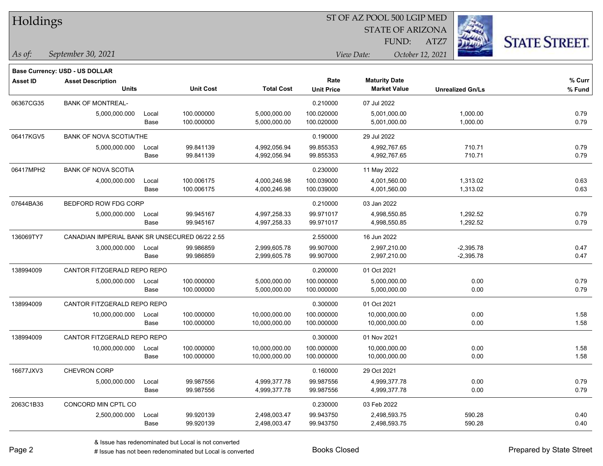| Holdings        |                                                |       |                  |                   |                   | ST OF AZ POOL 500 LGIP MED |                         |                      |
|-----------------|------------------------------------------------|-------|------------------|-------------------|-------------------|----------------------------|-------------------------|----------------------|
|                 |                                                |       |                  |                   |                   | <b>STATE OF ARIZONA</b>    |                         |                      |
|                 |                                                |       |                  |                   |                   | FUND:                      | ATZ7                    | <b>STATE STREET.</b> |
| $ $ As of:      | September 30, 2021                             |       |                  |                   |                   | View Date:                 | October 12, 2021        |                      |
|                 | Base Currency: USD - US DOLLAR                 |       |                  |                   |                   |                            |                         |                      |
| <b>Asset ID</b> | <b>Asset Description</b>                       |       |                  |                   | Rate              | <b>Maturity Date</b>       |                         | % Curr               |
|                 | <b>Units</b>                                   |       | <b>Unit Cost</b> | <b>Total Cost</b> | <b>Unit Price</b> | <b>Market Value</b>        | <b>Unrealized Gn/Ls</b> | % Fund               |
| 06367CG35       | <b>BANK OF MONTREAL-</b>                       |       |                  |                   | 0.210000          | 07 Jul 2022                |                         |                      |
|                 | 5,000,000.000                                  | Local | 100.000000       | 5,000,000.00      | 100.020000        | 5,001,000.00               | 1,000.00                | 0.79                 |
|                 |                                                | Base  | 100.000000       | 5,000,000.00      | 100.020000        | 5,001,000.00               | 1,000.00                | 0.79                 |
| 06417KGV5       | <b>BANK OF NOVA SCOTIA/THE</b>                 |       |                  |                   | 0.190000          | 29 Jul 2022                |                         |                      |
|                 | 5,000,000.000                                  | Local | 99.841139        | 4,992,056.94      | 99.855353         | 4,992,767.65               | 710.71                  | 0.79                 |
|                 |                                                | Base  | 99.841139        | 4,992,056.94      | 99.855353         | 4,992,767.65               | 710.71                  | 0.79                 |
| 06417MPH2       | <b>BANK OF NOVA SCOTIA</b>                     |       |                  |                   | 0.230000          | 11 May 2022                |                         |                      |
|                 | 4,000,000.000                                  | Local | 100.006175       | 4,000,246.98      | 100.039000        | 4,001,560.00               | 1,313.02                | 0.63                 |
|                 |                                                | Base  | 100.006175       | 4,000,246.98      | 100.039000        | 4,001,560.00               | 1,313.02                | 0.63                 |
| 07644BA36       | BEDFORD ROW FDG CORP                           |       |                  |                   | 0.210000          | 03 Jan 2022                |                         |                      |
|                 | 5,000,000.000                                  | Local | 99.945167        | 4,997,258.33      | 99.971017         | 4,998,550.85               | 1,292.52                | 0.79                 |
|                 |                                                | Base  | 99.945167        | 4,997,258.33      | 99.971017         | 4,998,550.85               | 1,292.52                | 0.79                 |
| 136069TY7       | CANADIAN IMPERIAL BANK SR UNSECURED 06/22 2.55 |       |                  |                   | 2.550000          | 16 Jun 2022                |                         |                      |
|                 | 3,000,000.000                                  | Local | 99.986859        | 2,999,605.78      | 99.907000         | 2,997,210.00               | $-2,395.78$             | 0.47                 |
|                 |                                                | Base  | 99.986859        | 2,999,605.78      | 99.907000         | 2,997,210.00               | $-2,395.78$             | 0.47                 |
| 138994009       | CANTOR FITZGERALD REPO REPO                    |       |                  |                   | 0.200000          | 01 Oct 2021                |                         |                      |
|                 | 5,000,000.000                                  | Local | 100.000000       | 5,000,000.00      | 100.000000        | 5,000,000.00               | 0.00                    | 0.79                 |
|                 |                                                | Base  | 100.000000       | 5,000,000.00      | 100.000000        | 5,000,000.00               | 0.00                    | 0.79                 |
| 138994009       | CANTOR FITZGERALD REPO REPO                    |       |                  |                   | 0.300000          | 01 Oct 2021                |                         |                      |
|                 | 10,000,000.000                                 | Local | 100.000000       | 10,000,000.00     | 100.000000        | 10,000,000.00              | 0.00                    | 1.58                 |
|                 |                                                | Base  | 100.000000       | 10,000,000.00     | 100.000000        | 10,000,000.00              | 0.00                    | 1.58                 |
| 138994009       | CANTOR FITZGERALD REPO REPO                    |       |                  |                   | 0.300000          | 01 Nov 2021                |                         |                      |
|                 | 10,000,000.000                                 | Local | 100.000000       | 10,000,000.00     | 100.000000        | 10,000,000.00              | 0.00                    | 1.58                 |
|                 |                                                | Base  | 100.000000       | 10,000,000.00     | 100.000000        | 10,000,000.00              | 0.00                    | 1.58                 |
| 16677JXV3       | CHEVRON CORP                                   |       |                  |                   | 0.160000          | 29 Oct 2021                |                         |                      |
|                 | 5,000,000.000                                  | Local | 99.987556        | 4,999,377.78      | 99.987556         | 4,999,377.78               | 0.00                    | 0.79                 |
|                 |                                                | Base  | 99.987556        | 4,999,377.78      | 99.987556         | 4,999,377.78               | 0.00                    | 0.79                 |
| 2063C1B33       | CONCORD MIN CPTL CO                            |       |                  |                   | 0.230000          | 03 Feb 2022                |                         |                      |
|                 | 2,500,000.000                                  | Local | 99.920139        | 2,498,003.47      | 99.943750         | 2,498,593.75               | 590.28                  | 0.40                 |

Base 99.920139 2,498,003.47 99.943750 2,498,593.75 590.28 0.40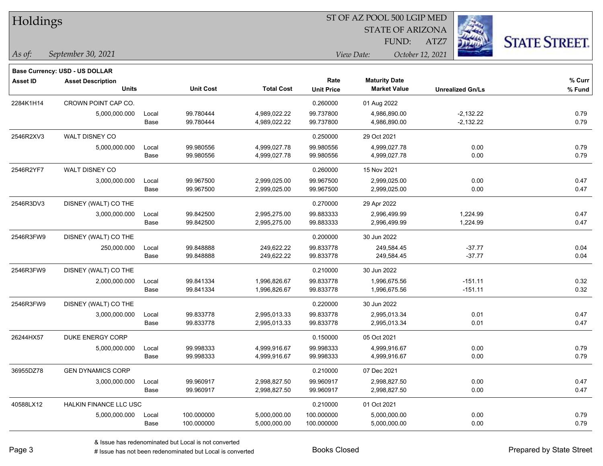| Holdings        |                                       |       |                  | ST OF AZ POOL 500 LGIP MED |                   |                         |                         |                      |  |  |
|-----------------|---------------------------------------|-------|------------------|----------------------------|-------------------|-------------------------|-------------------------|----------------------|--|--|
|                 |                                       |       |                  |                            |                   | <b>STATE OF ARIZONA</b> |                         |                      |  |  |
|                 |                                       |       |                  |                            |                   | FUND:                   | ATZ7                    | <b>STATE STREET.</b> |  |  |
| $\vert$ As of:  | September 30, 2021                    |       |                  |                            |                   | View Date:              | October 12, 2021        |                      |  |  |
|                 | <b>Base Currency: USD - US DOLLAR</b> |       |                  |                            |                   |                         |                         |                      |  |  |
| <b>Asset ID</b> | <b>Asset Description</b>              |       |                  |                            | Rate              | <b>Maturity Date</b>    |                         | % Curr               |  |  |
|                 | <b>Units</b>                          |       | <b>Unit Cost</b> | <b>Total Cost</b>          | <b>Unit Price</b> | <b>Market Value</b>     | <b>Unrealized Gn/Ls</b> | % Fund               |  |  |
| 2284K1H14       | CROWN POINT CAP CO.                   |       |                  |                            | 0.260000          | 01 Aug 2022             |                         |                      |  |  |
|                 | 5,000,000.000                         | Local | 99.780444        | 4,989,022.22               | 99.737800         | 4,986,890.00            | $-2,132.22$             | 0.79                 |  |  |
|                 |                                       | Base  | 99.780444        | 4,989,022.22               | 99.737800         | 4,986,890.00            | $-2,132.22$             | 0.79                 |  |  |
| 2546R2XV3       | WALT DISNEY CO                        |       |                  |                            | 0.250000          | 29 Oct 2021             |                         |                      |  |  |
|                 | 5,000,000.000                         | Local | 99.980556        | 4,999,027.78               | 99.980556         | 4,999,027.78            | 0.00                    | 0.79                 |  |  |
|                 |                                       | Base  | 99.980556        | 4,999,027.78               | 99.980556         | 4,999,027.78            | 0.00                    | 0.79                 |  |  |
| 2546R2YF7       | WALT DISNEY CO                        |       |                  |                            | 0.260000          | 15 Nov 2021             |                         |                      |  |  |
|                 | 3,000,000.000                         | Local | 99.967500        | 2,999,025.00               | 99.967500         | 2,999,025.00            | 0.00                    | 0.47                 |  |  |
|                 |                                       | Base  | 99.967500        | 2,999,025.00               | 99.967500         | 2,999,025.00            | 0.00                    | 0.47                 |  |  |
| 2546R3DV3       | DISNEY (WALT) CO THE                  |       |                  |                            | 0.270000          | 29 Apr 2022             |                         |                      |  |  |
|                 | 3,000,000.000                         | Local | 99.842500        | 2,995,275.00               | 99.883333         | 2,996,499.99            | 1,224.99                | 0.47                 |  |  |
|                 |                                       | Base  | 99.842500        | 2,995,275.00               | 99.883333         | 2,996,499.99            | 1,224.99                | 0.47                 |  |  |
| 2546R3FW9       | DISNEY (WALT) CO THE                  |       |                  |                            | 0.200000          | 30 Jun 2022             |                         |                      |  |  |
|                 | 250,000.000                           | Local | 99.848888        | 249,622.22                 | 99.833778         | 249,584.45              | $-37.77$                | 0.04                 |  |  |
|                 |                                       | Base  | 99.848888        | 249,622.22                 | 99.833778         | 249,584.45              | $-37.77$                | 0.04                 |  |  |
| 2546R3FW9       | DISNEY (WALT) CO THE                  |       |                  |                            | 0.210000          | 30 Jun 2022             |                         |                      |  |  |
|                 | 2,000,000.000                         | Local | 99.841334        | 1,996,826.67               | 99.833778         | 1,996,675.56            | $-151.11$               | 0.32                 |  |  |
|                 |                                       | Base  | 99.841334        | 1,996,826.67               | 99.833778         | 1,996,675.56            | $-151.11$               | 0.32                 |  |  |
| 2546R3FW9       | DISNEY (WALT) CO THE                  |       |                  |                            | 0.220000          | 30 Jun 2022             |                         |                      |  |  |
|                 | 3,000,000.000                         | Local | 99.833778        | 2,995,013.33               | 99.833778         | 2,995,013.34            | 0.01                    | 0.47                 |  |  |
|                 |                                       | Base  | 99.833778        | 2,995,013.33               | 99.833778         | 2,995,013.34            | 0.01                    | 0.47                 |  |  |
| 26244HX57       | DUKE ENERGY CORP                      |       |                  |                            | 0.150000          | 05 Oct 2021             |                         |                      |  |  |
|                 | 5,000,000.000                         | Local | 99.998333        | 4,999,916.67               | 99.998333         | 4,999,916.67            | 0.00                    | 0.79                 |  |  |
|                 |                                       | Base  | 99.998333        | 4,999,916.67               | 99.998333         | 4,999,916.67            | 0.00                    | 0.79                 |  |  |
| 36955DZ78       | <b>GEN DYNAMICS CORP</b>              |       |                  |                            | 0.210000          | 07 Dec 2021             |                         |                      |  |  |
|                 | 3,000,000.000                         | Local | 99.960917        | 2,998,827.50               | 99.960917         | 2,998,827.50            | 0.00                    | 0.47                 |  |  |
|                 |                                       | Base  | 99.960917        | 2,998,827.50               | 99.960917         | 2,998,827.50            | 0.00                    | 0.47                 |  |  |
| 40588LX12       | HALKIN FINANCE LLC USC                |       |                  |                            | 0.210000          | 01 Oct 2021             |                         |                      |  |  |
|                 | 5,000,000.000                         | Local | 100.000000       | 5,000,000.00               | 100.000000        | 5,000,000.00            | 0.00                    | 0.79                 |  |  |
|                 |                                       | Base  | 100.000000       | 5,000,000.00               | 100.000000        | 5,000,000.00            | 0.00                    | 0.79                 |  |  |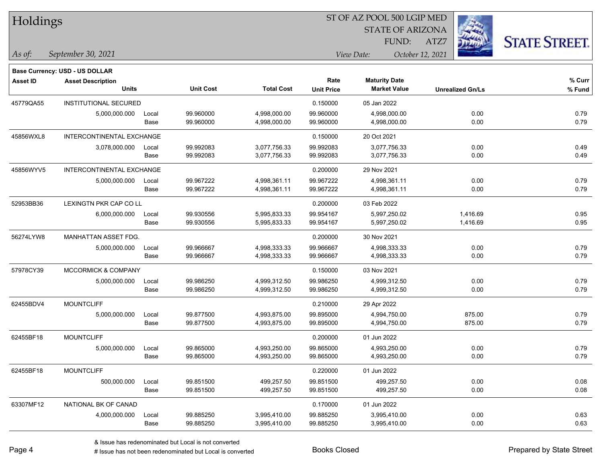| Holdings        |                                |       |                  |                   |                   |                                |                         |                      |
|-----------------|--------------------------------|-------|------------------|-------------------|-------------------|--------------------------------|-------------------------|----------------------|
|                 |                                |       |                  |                   |                   | <b>STATE OF ARIZONA</b>        | - 3                     |                      |
|                 |                                |       |                  |                   |                   | FUND:                          | ATZ7                    | <b>STATE STREET.</b> |
| As of:          | September 30, 2021             |       |                  |                   |                   | View Date:<br>October 12, 2021 |                         |                      |
|                 | Base Currency: USD - US DOLLAR |       |                  |                   |                   |                                |                         |                      |
| <b>Asset ID</b> | <b>Asset Description</b>       |       |                  |                   | Rate              | <b>Maturity Date</b>           |                         | % Curr               |
|                 | <b>Units</b>                   |       | <b>Unit Cost</b> | <b>Total Cost</b> | <b>Unit Price</b> | <b>Market Value</b>            | <b>Unrealized Gn/Ls</b> | % Fund               |
| 45779QA55       | <b>INSTITUTIONAL SECURED</b>   |       |                  |                   | 0.150000          | 05 Jan 2022                    |                         |                      |
|                 | 5,000,000.000                  | Local | 99.960000        | 4,998,000.00      | 99.960000         | 4,998,000.00                   | 0.00                    | 0.79                 |
|                 |                                | Base  | 99.960000        | 4,998,000.00      | 99.960000         | 4,998,000.00                   | 0.00                    | 0.79                 |
| 45856WXL8       | INTERCONTINENTAL EXCHANGE      |       |                  |                   | 0.150000          | 20 Oct 2021                    |                         |                      |
|                 | 3,078,000.000                  | Local | 99.992083        | 3,077,756.33      | 99.992083         | 3,077,756.33                   | 0.00                    | 0.49                 |
|                 |                                | Base  | 99.992083        | 3,077,756.33      | 99.992083         | 3,077,756.33                   | 0.00                    | 0.49                 |
| 45856WYV5       | INTERCONTINENTAL EXCHANGE      |       |                  |                   | 0.200000          | 29 Nov 2021                    |                         |                      |
|                 | 5,000,000.000                  | Local | 99.967222        | 4,998,361.11      | 99.967222         | 4,998,361.11                   | 0.00                    | 0.79                 |
|                 |                                | Base  | 99.967222        | 4,998,361.11      | 99.967222         | 4,998,361.11                   | 0.00                    | 0.79                 |
| 52953BB36       | LEXINGTN PKR CAP CO LL         |       |                  |                   | 0.200000          | 03 Feb 2022                    |                         |                      |
|                 | 6,000,000.000                  | Local | 99.930556        | 5,995,833.33      | 99.954167         | 5,997,250.02                   | 1,416.69                | 0.95                 |
|                 |                                | Base  | 99.930556        | 5,995,833.33      | 99.954167         | 5,997,250.02                   | 1,416.69                | 0.95                 |
| 56274LYW8       | MANHATTAN ASSET FDG.           |       |                  |                   | 0.200000          | 30 Nov 2021                    |                         |                      |
|                 | 5,000,000.000                  | Local | 99.966667        | 4,998,333.33      | 99.966667         | 4,998,333.33                   | 0.00                    | 0.79                 |
|                 |                                | Base  | 99.966667        | 4,998,333.33      | 99.966667         | 4,998,333.33                   | 0.00                    | 0.79                 |
| 57978CY39       | MCCORMICK & COMPANY            |       |                  |                   | 0.150000          | 03 Nov 2021                    |                         |                      |
|                 | 5,000,000.000                  | Local | 99.986250        | 4,999,312.50      | 99.986250         | 4,999,312.50                   | 0.00                    | 0.79                 |
|                 |                                | Base  | 99.986250        | 4,999,312.50      | 99.986250         | 4,999,312.50                   | 0.00                    | 0.79                 |
| 62455BDV4       | <b>MOUNTCLIFF</b>              |       |                  |                   | 0.210000          | 29 Apr 2022                    |                         |                      |
|                 | 5,000,000.000                  | Local | 99.877500        | 4,993,875.00      | 99.895000         | 4,994,750.00                   | 875.00                  | 0.79                 |
|                 |                                | Base  | 99.877500        | 4,993,875.00      | 99.895000         | 4,994,750.00                   | 875.00                  | 0.79                 |
| 62455BF18       | <b>MOUNTCLIFF</b>              |       |                  |                   | 0.200000          | 01 Jun 2022                    |                         |                      |
|                 | 5,000,000.000                  | Local | 99.865000        | 4,993,250.00      | 99.865000         | 4,993,250.00                   | 0.00                    | 0.79                 |
|                 |                                | Base  | 99.865000        | 4,993,250.00      | 99.865000         | 4,993,250.00                   | 0.00                    | 0.79                 |
| 62455BF18       | <b>MOUNTCLIFF</b>              |       |                  |                   | 0.220000          | 01 Jun 2022                    |                         |                      |
|                 | 500,000.000                    | Local | 99.851500        | 499,257.50        | 99.851500         | 499,257.50                     | 0.00                    | 0.08                 |
|                 |                                | Base  | 99.851500        | 499,257.50        | 99.851500         | 499,257.50                     | 0.00                    | 0.08                 |
| 63307MF12       | NATIONAL BK OF CANAD           |       |                  |                   | 0.170000          | 01 Jun 2022                    |                         |                      |
|                 | 4,000,000.000                  | Local | 99.885250        | 3,995,410.00      | 99.885250         | 3,995,410.00                   | 0.00                    | 0.63                 |
|                 |                                | Base  | 99.885250        | 3,995,410.00      | 99.885250         | 3,995,410.00                   | 0.00                    | 0.63                 |

 $\overline{\phantom{0}}$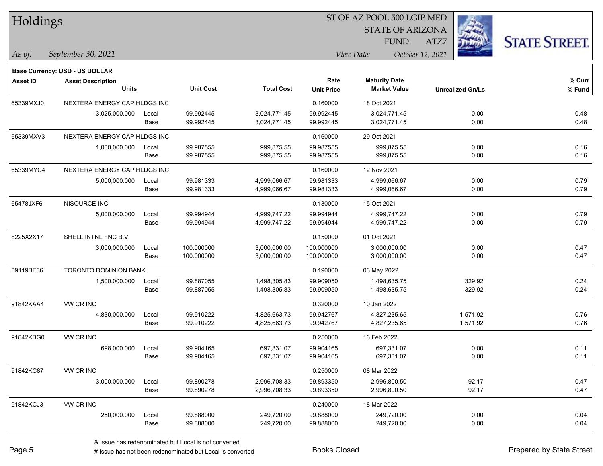| Holdings        |                                          |       |                  |                   | 51 OF AZ POOL 500 LGIP MED |                                             |                         |                     |  |  |  |
|-----------------|------------------------------------------|-------|------------------|-------------------|----------------------------|---------------------------------------------|-------------------------|---------------------|--|--|--|
|                 |                                          |       |                  |                   |                            | <b>STATE OF ARIZONA</b>                     |                         |                     |  |  |  |
|                 |                                          |       |                  |                   |                            | FUND:                                       | ATZ7                    | <b>STATE STREET</b> |  |  |  |
| As of:          | September 30, 2021                       |       |                  |                   |                            | View Date:                                  | October 12, 2021        |                     |  |  |  |
|                 |                                          |       |                  |                   |                            |                                             |                         |                     |  |  |  |
|                 | <b>Base Currency: USD - US DOLLAR</b>    |       |                  |                   |                            |                                             |                         |                     |  |  |  |
| <b>Asset ID</b> | <b>Asset Description</b><br><b>Units</b> |       | <b>Unit Cost</b> | <b>Total Cost</b> | Rate<br><b>Unit Price</b>  | <b>Maturity Date</b><br><b>Market Value</b> | <b>Unrealized Gn/Ls</b> | % Curr<br>% Fund    |  |  |  |
|                 |                                          |       |                  |                   |                            |                                             |                         |                     |  |  |  |
| 65339MXJ0       | NEXTERA ENERGY CAP HLDGS INC             |       |                  |                   | 0.160000                   | 18 Oct 2021                                 |                         |                     |  |  |  |
|                 | 3,025,000.000                            | Local | 99.992445        | 3,024,771.45      | 99.992445                  | 3,024,771.45                                | 0.00                    | 0.48                |  |  |  |
|                 |                                          | Base  | 99.992445        | 3,024,771.45      | 99.992445                  | 3,024,771.45                                | 0.00                    | 0.48                |  |  |  |
| 65339MXV3       | NEXTERA ENERGY CAP HLDGS INC             |       |                  |                   | 0.160000                   | 29 Oct 2021                                 |                         |                     |  |  |  |
|                 | 1,000,000.000                            | Local | 99.987555        | 999,875.55        | 99.987555                  | 999,875.55                                  | 0.00                    | 0.16                |  |  |  |
|                 |                                          | Base  | 99.987555        | 999,875.55        | 99.987555                  | 999,875.55                                  | 0.00                    | 0.16                |  |  |  |
| 65339MYC4       | NEXTERA ENERGY CAP HLDGS INC             |       |                  |                   | 0.160000                   | 12 Nov 2021                                 |                         |                     |  |  |  |
|                 | 5,000,000.000                            | Local | 99.981333        | 4,999,066.67      | 99.981333                  | 4,999,066.67                                | 0.00                    | 0.79                |  |  |  |
|                 |                                          | Base  | 99.981333        | 4,999,066.67      | 99.981333                  | 4,999,066.67                                | 0.00                    | 0.79                |  |  |  |
| 65478JXF6       | NISOURCE INC                             |       |                  |                   | 0.130000                   | 15 Oct 2021                                 |                         |                     |  |  |  |
|                 | 5,000,000.000                            | Local | 99.994944        | 4,999,747.22      | 99.994944                  | 4,999,747.22                                | 0.00                    | 0.79                |  |  |  |
|                 |                                          | Base  | 99.994944        | 4,999,747.22      | 99.994944                  | 4,999,747.22                                | 0.00                    | 0.79                |  |  |  |
| 8225X2X17       | SHELL INTNL FNC B.V                      |       |                  |                   | 0.150000                   | 01 Oct 2021                                 |                         |                     |  |  |  |
|                 | 3,000,000.000                            | Local | 100.000000       | 3,000,000.00      | 100.000000                 | 3,000,000.00                                | 0.00                    | 0.47                |  |  |  |
|                 |                                          | Base  | 100.000000       | 3,000,000.00      | 100.000000                 | 3,000,000.00                                | 0.00                    | 0.47                |  |  |  |
| 89119BE36       | TORONTO DOMINION BANK                    |       |                  |                   | 0.190000                   | 03 May 2022                                 |                         |                     |  |  |  |
|                 | 1,500,000.000                            | Local | 99.887055        | 1,498,305.83      | 99.909050                  | 1,498,635.75                                | 329.92                  | 0.24                |  |  |  |
|                 |                                          | Base  | 99.887055        | 1,498,305.83      | 99.909050                  | 1,498,635.75                                | 329.92                  | 0.24                |  |  |  |
| 91842KAA4       | VW CR INC                                |       |                  |                   | 0.320000                   | 10 Jan 2022                                 |                         |                     |  |  |  |
|                 | 4,830,000.000                            | Local | 99.910222        | 4,825,663.73      | 99.942767                  | 4,827,235.65                                | 1,571.92                | 0.76                |  |  |  |
|                 |                                          | Base  | 99.910222        | 4,825,663.73      | 99.942767                  | 4,827,235.65                                | 1,571.92                | 0.76                |  |  |  |
| 91842KBG0       | VW CR INC                                |       |                  |                   | 0.250000                   | 16 Feb 2022                                 |                         |                     |  |  |  |
|                 | 698,000.000                              | Local | 99.904165        | 697,331.07        | 99.904165                  | 697,331.07                                  | 0.00                    | 0.11                |  |  |  |
|                 |                                          | Base  | 99.904165        | 697,331.07        | 99.904165                  | 697,331.07                                  | 0.00                    | 0.11                |  |  |  |
| 91842KC87       | VW CR INC                                |       |                  |                   | 0.250000                   | 08 Mar 2022                                 |                         |                     |  |  |  |
|                 | 3,000,000.000                            | Local | 99.890278        | 2,996,708.33      | 99.893350                  | 2,996,800.50                                | 92.17                   | 0.47                |  |  |  |
|                 |                                          | Base  | 99.890278        | 2,996,708.33      | 99.893350                  | 2,996,800.50                                | 92.17                   | 0.47                |  |  |  |
| 91842KCJ3       | VW CR INC                                |       |                  |                   | 0.240000                   | 18 Mar 2022                                 |                         |                     |  |  |  |
|                 | 250,000.000                              | Local | 99.888000        | 249,720.00        | 99.888000                  | 249,720.00                                  | 0.00                    | 0.04                |  |  |  |
|                 |                                          | Base  | 99.888000        | 249,720.00        | 99.888000                  | 249,720.00                                  | 0.00                    | 0.04                |  |  |  |

 $\overline{\text{S}}$  of  $\overline{\text{S}}$  and  $\overline{\text{S}}$  and  $\overline{\text{S}}$  and  $\overline{\text{S}}$  and  $\overline{\text{S}}$ 

# Issue has not been redenominated but Local is converted Books Closed Prepared by State Street

٦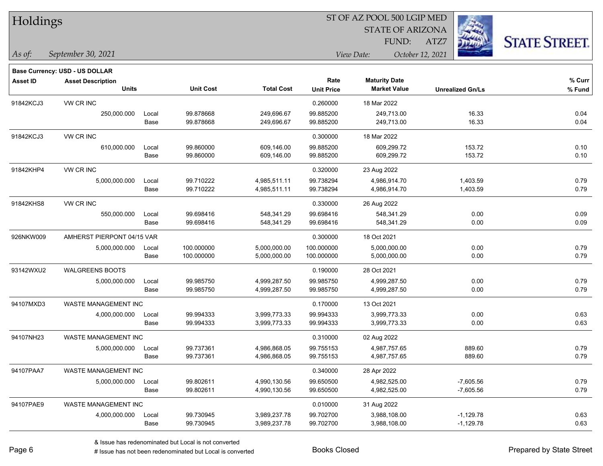| Holdings |  |
|----------|--|
|----------|--|

STATE OF ARIZONA

ATZ7



*September 30, 2021 As of: View Date: October 12, 2021*

**Base Currency: USD - US DOLLAR**

FUND:

| <b>Asset ID</b> | <b>Asset Description</b>    |       |                  |                   |                   | <b>Maturity Date</b> |                         | % Curr |
|-----------------|-----------------------------|-------|------------------|-------------------|-------------------|----------------------|-------------------------|--------|
|                 | <b>Units</b>                |       | <b>Unit Cost</b> | <b>Total Cost</b> | <b>Unit Price</b> | <b>Market Value</b>  | <b>Unrealized Gn/Ls</b> | % Fund |
| 91842KCJ3       | VW CR INC                   |       |                  |                   | 0.260000          | 18 Mar 2022          |                         |        |
|                 | 250,000.000                 | Local | 99.878668        | 249,696.67        | 99.885200         | 249,713.00           | 16.33                   | 0.04   |
|                 |                             | Base  | 99.878668        | 249,696.67        | 99.885200         | 249,713.00           | 16.33                   | 0.04   |
| 91842KCJ3       | VW CR INC                   |       |                  |                   | 0.300000          | 18 Mar 2022          |                         |        |
|                 | 610,000.000                 | Local | 99.860000        | 609,146.00        | 99.885200         | 609,299.72           | 153.72                  | 0.10   |
|                 |                             | Base  | 99.860000        | 609,146.00        | 99.885200         | 609,299.72           | 153.72                  | 0.10   |
| 91842KHP4       | <b>VW CR INC</b>            |       |                  |                   | 0.320000          | 23 Aug 2022          |                         |        |
|                 | 5,000,000.000               | Local | 99.710222        | 4,985,511.11      | 99.738294         | 4,986,914.70         | 1,403.59                | 0.79   |
|                 |                             | Base  | 99.710222        | 4,985,511.11      | 99.738294         | 4,986,914.70         | 1,403.59                | 0.79   |
| 91842KHS8       | <b>VW CR INC</b>            |       |                  |                   | 0.330000          | 26 Aug 2022          |                         |        |
|                 | 550,000.000                 | Local | 99.698416        | 548,341.29        | 99.698416         | 548,341.29           | 0.00                    | 0.09   |
|                 |                             | Base  | 99.698416        | 548,341.29        | 99.698416         | 548,341.29           | 0.00                    | 0.09   |
| 926NKW009       | AMHERST PIERPONT 04/15 VAR  |       |                  |                   | 0.300000          | 18 Oct 2021          |                         |        |
|                 | 5,000,000.000               | Local | 100.000000       | 5,000,000.00      | 100.000000        | 5,000,000.00         | 0.00                    | 0.79   |
|                 |                             | Base  | 100.000000       | 5,000,000.00      | 100.000000        | 5,000,000.00         | 0.00                    | 0.79   |
| 93142WXU2       | <b>WALGREENS BOOTS</b>      |       |                  |                   | 0.190000          | 28 Oct 2021          |                         |        |
|                 | 5,000,000.000               | Local | 99.985750        | 4,999,287.50      | 99.985750         | 4,999,287.50         | 0.00                    | 0.79   |
|                 |                             | Base  | 99.985750        | 4,999,287.50      | 99.985750         | 4,999,287.50         | 0.00                    | 0.79   |
| 94107MXD3       | <b>WASTE MANAGEMENT INC</b> |       |                  |                   | 0.170000          | 13 Oct 2021          |                         |        |
|                 | 4,000,000.000               | Local | 99.994333        | 3,999,773.33      | 99.994333         | 3,999,773.33         | 0.00                    | 0.63   |
|                 |                             | Base  | 99.994333        | 3,999,773.33      | 99.994333         | 3,999,773.33         | 0.00                    | 0.63   |
| 94107NH23       | <b>WASTE MANAGEMENT INC</b> |       |                  |                   | 0.310000          | 02 Aug 2022          |                         |        |
|                 | 5,000,000.000               | Local | 99.737361        | 4,986,868.05      | 99.755153         | 4,987,757.65         | 889.60                  | 0.79   |
|                 |                             | Base  | 99.737361        | 4,986,868.05      | 99.755153         | 4,987,757.65         | 889.60                  | 0.79   |
| 94107PAA7       | <b>WASTE MANAGEMENT INC</b> |       |                  |                   | 0.340000          | 28 Apr 2022          |                         |        |
|                 | 5,000,000.000               | Local | 99.802611        | 4,990,130.56      | 99.650500         | 4,982,525.00         | $-7,605.56$             | 0.79   |
|                 |                             | Base  | 99.802611        | 4,990,130.56      | 99.650500         | 4,982,525.00         | $-7,605.56$             | 0.79   |
| 94107PAE9       | WASTE MANAGEMENT INC        |       |                  |                   | 0.010000          | 31 Aug 2022          |                         |        |
|                 | 4,000,000.000               | Local | 99.730945        | 3,989,237.78      | 99.702700         | 3,988,108.00         | $-1,129.78$             | 0.63   |
|                 |                             | Base  | 99.730945        | 3,989,237.78      | 99.702700         | 3,988,108.00         | $-1,129.78$             | 0.63   |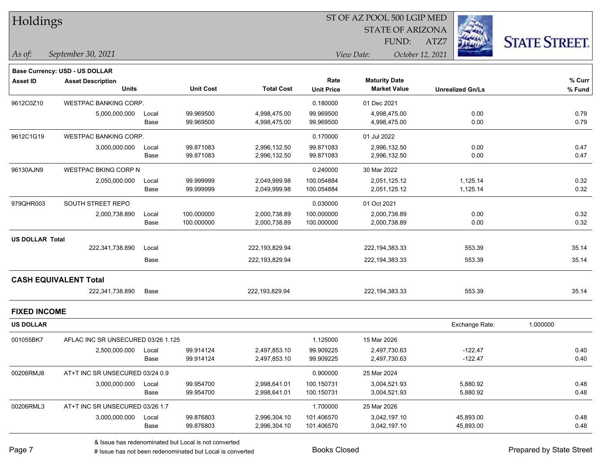| Holdings               |                                    |       |                  |                   |                   | ST OF AZ POOL 500 LGIP MED     |                         |                      |
|------------------------|------------------------------------|-------|------------------|-------------------|-------------------|--------------------------------|-------------------------|----------------------|
|                        |                                    |       |                  |                   |                   | <b>STATE OF ARIZONA</b>        |                         |                      |
|                        |                                    |       |                  |                   |                   | FUND:                          | ATZ7                    | <b>STATE STREET.</b> |
| As of:                 | September 30, 2021                 |       |                  |                   |                   | View Date:<br>October 12, 2021 |                         |                      |
|                        | Base Currency: USD - US DOLLAR     |       |                  |                   |                   |                                |                         |                      |
| Asset ID               | <b>Asset Description</b>           |       |                  |                   | Rate              | <b>Maturity Date</b>           |                         | % Curr               |
|                        | <b>Units</b>                       |       | <b>Unit Cost</b> | <b>Total Cost</b> | <b>Unit Price</b> | <b>Market Value</b>            | <b>Unrealized Gn/Ls</b> | % Fund               |
| 9612C0Z10              | <b>WESTPAC BANKING CORP.</b>       |       |                  |                   | 0.180000          | 01 Dec 2021                    |                         |                      |
|                        | 5,000,000.000                      | Local | 99.969500        | 4,998,475.00      | 99.969500         | 4,998,475.00                   | 0.00                    | 0.79                 |
|                        |                                    | Base  | 99.969500        | 4,998,475.00      | 99.969500         | 4,998,475.00                   | 0.00                    | 0.79                 |
| 9612C1G19              | WESTPAC BANKING CORP.              |       |                  |                   | 0.170000          | 01 Jul 2022                    |                         |                      |
|                        | 3,000,000.000                      | Local | 99.871083        | 2,996,132.50      | 99.871083         | 2,996,132.50                   | 0.00                    | 0.47                 |
|                        |                                    | Base  | 99.871083        | 2,996,132.50      | 99.871083         | 2,996,132.50                   | 0.00                    | 0.47                 |
| 96130AJN9              | <b>WESTPAC BKING CORP N</b>        |       |                  |                   | 0.240000          | 30 Mar 2022                    |                         |                      |
|                        | 2,050,000.000                      | Local | 99.999999        | 2,049,999.98      | 100.054884        | 2,051,125.12                   | 1,125.14                | 0.32                 |
|                        |                                    | Base  | 99.999999        | 2,049,999.98      | 100.054884        | 2,051,125.12                   | 1,125.14                | 0.32                 |
| 979QHR003              | SOUTH STREET REPO                  |       |                  |                   | 0.030000          | 01 Oct 2021                    |                         |                      |
|                        | 2,000,738.890                      | Local | 100.000000       | 2,000,738.89      | 100.000000        | 2,000,738.89                   | 0.00                    | 0.32                 |
|                        |                                    | Base  | 100.000000       | 2,000,738.89      | 100.000000        | 2,000,738.89                   | 0.00                    | 0.32                 |
| <b>US DOLLAR Total</b> |                                    |       |                  |                   |                   |                                |                         |                      |
|                        | 222,341,738.890                    | Local |                  | 222,193,829.94    |                   | 222, 194, 383. 33              | 553.39                  | 35.14                |
|                        |                                    | Base  |                  | 222,193,829.94    |                   | 222, 194, 383. 33              | 553.39                  | 35.14                |
|                        | <b>CASH EQUIVALENT Total</b>       |       |                  |                   |                   |                                |                         |                      |
|                        | 222,341,738.890                    | Base  |                  | 222,193,829.94    |                   | 222,194,383.33                 | 553.39                  | 35.14                |
| <b>FIXED INCOME</b>    |                                    |       |                  |                   |                   |                                |                         |                      |
| <b>US DOLLAR</b>       |                                    |       |                  |                   |                   |                                | Exchange Rate:          | 1.000000             |
| 001055BK7              | AFLAC INC SR UNSECURED 03/26 1.125 |       |                  |                   | 1.125000          | 15 Mar 2026                    |                         |                      |
|                        | 2,500,000.000                      | Local | 99.914124        | 2,497,853.10      | 99.909225         | 2,497,730.63                   | $-122.47$               | 0.40                 |
|                        |                                    | Base  | 99.914124        | 2,497,853.10      | 99.909225         | 2,497,730.63                   | $-122.47$               | 0.40                 |
| 00206RMJ8              | AT+T INC SR UNSECURED 03/24 0.9    |       |                  |                   | 0.900000          | 25 Mar 2024                    |                         |                      |
|                        | 3,000,000.000                      | Local | 99.954700        | 2,998,641.01      | 100.150731        | 3,004,521.93                   | 5,880.92                | 0.48                 |
|                        |                                    | Base  | 99.954700        | 2,998,641.01      | 100.150731        | 3,004,521.93                   | 5,880.92                | 0.48                 |
| 00206RML3              | AT+T INC SR UNSECURED 03/26 1.7    |       |                  |                   | 1.700000          | 25 Mar 2026                    |                         |                      |
|                        | 3,000,000.000                      | Local | 99.876803        | 2,996,304.10      | 101.406570        | 3,042,197.10                   | 45,893.00               | 0.48                 |
|                        |                                    | Base  | 99.876803        | 2,996,304.10      | 101.406570        | 3,042,197.10                   | 45,893.00               | 0.48                 |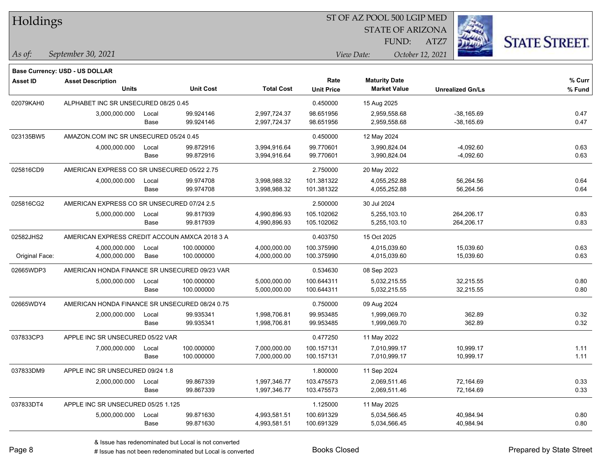| Holdings        |                                                |       |                  |                   |                   | ST OF AZ POOL 500 LGIP MED     |                         |                     |  |
|-----------------|------------------------------------------------|-------|------------------|-------------------|-------------------|--------------------------------|-------------------------|---------------------|--|
|                 |                                                |       |                  |                   |                   | <b>STATE OF ARIZONA</b>        |                         |                     |  |
|                 |                                                |       |                  |                   |                   | FUND:                          | ATZ7                    | <b>STATE STREET</b> |  |
| As of:          | September 30, 2021                             |       |                  |                   |                   | October 12, 2021<br>View Date: |                         |                     |  |
|                 | <b>Base Currency: USD - US DOLLAR</b>          |       |                  |                   |                   |                                |                         |                     |  |
| <b>Asset ID</b> | <b>Asset Description</b>                       |       |                  |                   | Rate              | <b>Maturity Date</b>           |                         | % Curr              |  |
|                 | <b>Units</b>                                   |       | <b>Unit Cost</b> | <b>Total Cost</b> | <b>Unit Price</b> | <b>Market Value</b>            | <b>Unrealized Gn/Ls</b> | % Fund              |  |
| 02079KAH0       | ALPHABET INC SR UNSECURED 08/25 0.45           |       |                  |                   | 0.450000          | 15 Aug 2025                    |                         |                     |  |
|                 | 3,000,000.000                                  | Local | 99.924146        | 2,997,724.37      | 98.651956         | 2,959,558.68                   | $-38,165.69$            | 0.47                |  |
|                 |                                                | Base  | 99.924146        | 2,997,724.37      | 98.651956         | 2,959,558.68                   | $-38,165.69$            | 0.47                |  |
| 023135BW5       | AMAZON.COM INC SR UNSECURED 05/24 0.45         |       |                  |                   | 0.450000          | 12 May 2024                    |                         |                     |  |
|                 | 4,000,000.000                                  | Local | 99.872916        | 3,994,916.64      | 99.770601         | 3,990,824.04                   | $-4,092.60$             | 0.63                |  |
|                 |                                                | Base  | 99.872916        | 3,994,916.64      | 99.770601         | 3,990,824.04                   | $-4,092.60$             | 0.63                |  |
| 025816CD9       | AMERICAN EXPRESS CO SR UNSECURED 05/22 2.75    |       |                  |                   | 2.750000          | 20 May 2022                    |                         |                     |  |
|                 | 4,000,000.000                                  | Local | 99.974708        | 3,998,988.32      | 101.381322        | 4,055,252.88                   | 56,264.56               | 0.64                |  |
|                 |                                                | Base  | 99.974708        | 3,998,988.32      | 101.381322        | 4,055,252.88                   | 56,264.56               | 0.64                |  |
| 025816CG2       | AMERICAN EXPRESS CO SR UNSECURED 07/24 2.5     |       |                  |                   | 2.500000          | 30 Jul 2024                    |                         |                     |  |
|                 | 5,000,000.000                                  | Local | 99.817939        | 4,990,896.93      | 105.102062        | 5,255,103.10                   | 264,206.17              | 0.83                |  |
|                 |                                                | Base  | 99.817939        | 4,990,896.93      | 105.102062        | 5,255,103.10                   | 264,206.17              | 0.83                |  |
| 02582JHS2       | AMERICAN EXPRESS CREDIT ACCOUN AMXCA 2018 3 A  |       |                  |                   | 0.403750          | 15 Oct 2025                    |                         |                     |  |
|                 | 4,000,000.000                                  | Local | 100.000000       | 4,000,000.00      | 100.375990        | 4,015,039.60                   | 15,039.60               | 0.63                |  |
| Original Face:  | 4,000,000.000                                  | Base  | 100.000000       | 4,000,000.00      | 100.375990        | 4,015,039.60                   | 15,039.60               | 0.63                |  |
| 02665WDP3       | AMERICAN HONDA FINANCE SR UNSECURED 09/23 VAR  |       |                  |                   | 0.534630          | 08 Sep 2023                    |                         |                     |  |
|                 | 5,000,000.000                                  | Local | 100.000000       | 5,000,000.00      | 100.644311        | 5,032,215.55                   | 32,215.55               | 0.80                |  |
|                 |                                                | Base  | 100.000000       | 5,000,000.00      | 100.644311        | 5,032,215.55                   | 32,215.55               | 0.80                |  |
| 02665WDY4       | AMERICAN HONDA FINANCE SR UNSECURED 08/24 0.75 |       |                  |                   | 0.750000          | 09 Aug 2024                    |                         |                     |  |
|                 | 2,000,000.000                                  | Local | 99.935341        | 1,998,706.81      | 99.953485         | 1,999,069.70                   | 362.89                  | 0.32                |  |
|                 |                                                | Base  | 99.935341        | 1,998,706.81      | 99.953485         | 1,999,069.70                   | 362.89                  | 0.32                |  |
| 037833CP3       | APPLE INC SR UNSECURED 05/22 VAR               |       |                  |                   | 0.477250          | 11 May 2022                    |                         |                     |  |
|                 | 7,000,000.000                                  | Local | 100.000000       | 7,000,000.00      | 100.157131        | 7,010,999.17                   | 10,999.17               | 1.11                |  |
|                 |                                                | Base  | 100.000000       | 7,000,000.00      | 100.157131        | 7,010,999.17                   | 10,999.17               | 1.11                |  |
| 037833DM9       | APPLE INC SR UNSECURED 09/24 1.8               |       |                  |                   | 1.800000          | 11 Sep 2024                    |                         |                     |  |
|                 | 2,000,000.000                                  | Local | 99.867339        | 1,997,346.77      | 103.475573        | 2,069,511.46                   | 72,164.69               | 0.33                |  |
|                 |                                                | Base  | 99.867339        | 1,997,346.77      | 103.475573        | 2,069,511.46                   | 72,164.69               | 0.33                |  |
| 037833DT4       | APPLE INC SR UNSECURED 05/25 1.125             |       |                  |                   | 1.125000          | 11 May 2025                    |                         |                     |  |
|                 | 5,000,000.000                                  | Local | 99.871630        | 4,993,581.51      | 100.691329        | 5,034,566.45                   | 40,984.94               | 0.80                |  |
|                 |                                                | Base  | 99.871630        | 4,993,581.51      | 100.691329        | 5,034,566.45                   | 40,984.94               | 0.80                |  |

 $\overline{\text{SP } \overline{\text{SP } \text{O}}$ 

# Issue has not been redenominated but Local is converted Books Closed Prepared by State Street

٦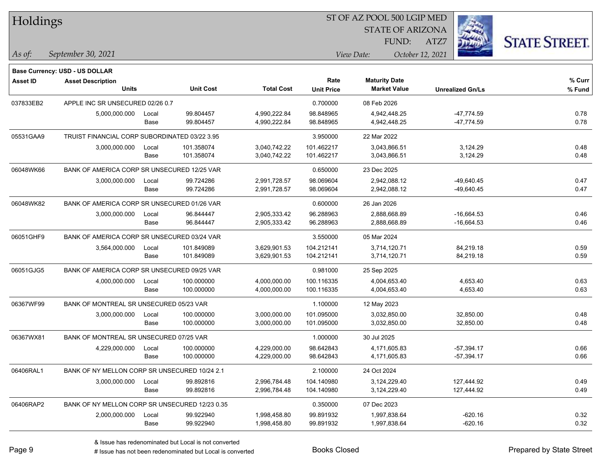| Holdings  |                                                                   |       |                  |                   | ST OF AZ POOL 500 LGIP MED |                         |                         |                      |
|-----------|-------------------------------------------------------------------|-------|------------------|-------------------|----------------------------|-------------------------|-------------------------|----------------------|
|           |                                                                   |       |                  |                   |                            | <b>STATE OF ARIZONA</b> |                         |                      |
|           |                                                                   |       |                  |                   |                            | FUND:                   | ATZ7                    | <b>STATE STREET.</b> |
| As of:    | September 30, 2021                                                |       |                  |                   |                            | View Date:              | October 12, 2021        |                      |
|           |                                                                   |       |                  |                   |                            |                         |                         |                      |
| Asset ID  | <b>Base Currency: USD - US DOLLAR</b><br><b>Asset Description</b> |       |                  |                   | Rate                       | <b>Maturity Date</b>    |                         | % Curr               |
|           | <b>Units</b>                                                      |       | <b>Unit Cost</b> | <b>Total Cost</b> | <b>Unit Price</b>          | <b>Market Value</b>     | <b>Unrealized Gn/Ls</b> | % Fund               |
| 037833EB2 | APPLE INC SR UNSECURED 02/26 0.7                                  |       |                  |                   | 0.700000                   | 08 Feb 2026             |                         |                      |
|           | 5,000,000.000                                                     | Local | 99.804457        | 4,990,222.84      | 98.848965                  | 4,942,448.25            | $-47,774.59$            | 0.78                 |
|           |                                                                   | Base  | 99.804457        | 4,990,222.84      | 98.848965                  | 4,942,448.25            | $-47,774.59$            | 0.78                 |
| 05531GAA9 | TRUIST FINANCIAL CORP SUBORDINATED 03/22 3.95                     |       |                  |                   | 3.950000                   | 22 Mar 2022             |                         |                      |
|           | 3,000,000.000                                                     | Local | 101.358074       | 3,040,742.22      | 101.462217                 | 3,043,866.51            | 3,124.29                | 0.48                 |
|           |                                                                   | Base  | 101.358074       | 3,040,742.22      | 101.462217                 | 3,043,866.51            | 3,124.29                | 0.48                 |
| 06048WK66 | BANK OF AMERICA CORP SR UNSECURED 12/25 VAR                       |       |                  |                   | 0.650000                   | 23 Dec 2025             |                         |                      |
|           | 3,000,000.000                                                     | Local | 99.724286        | 2,991,728.57      | 98.069604                  | 2,942,088.12            | $-49,640.45$            | 0.47                 |
|           |                                                                   | Base  | 99.724286        | 2,991,728.57      | 98.069604                  | 2,942,088.12            | -49,640.45              | 0.47                 |
| 06048WK82 | BANK OF AMERICA CORP SR UNSECURED 01/26 VAR                       |       |                  |                   | 0.600000                   | 26 Jan 2026             |                         |                      |
|           | 3,000,000.000                                                     | Local | 96.844447        | 2,905,333.42      | 96.288963                  | 2,888,668.89            | $-16,664.53$            | 0.46                 |
|           |                                                                   | Base  | 96.844447        | 2,905,333.42      | 96.288963                  | 2,888,668.89            | $-16,664.53$            | 0.46                 |
| 06051GHF9 | BANK OF AMERICA CORP SR UNSECURED 03/24 VAR                       |       |                  |                   | 3.550000                   | 05 Mar 2024             |                         |                      |
|           | 3,564,000.000                                                     | Local | 101.849089       | 3,629,901.53      | 104.212141                 | 3,714,120.71            | 84,219.18               | 0.59                 |
|           |                                                                   | Base  | 101.849089       | 3,629,901.53      | 104.212141                 | 3,714,120.71            | 84,219.18               | 0.59                 |
| 06051GJG5 | BANK OF AMERICA CORP SR UNSECURED 09/25 VAR                       |       |                  |                   | 0.981000                   | 25 Sep 2025             |                         |                      |
|           | 4,000,000.000                                                     | Local | 100.000000       | 4,000,000.00      | 100.116335                 | 4,004,653.40            | 4,653.40                | 0.63                 |
|           |                                                                   | Base  | 100.000000       | 4,000,000.00      | 100.116335                 | 4,004,653.40            | 4,653.40                | 0.63                 |
| 06367WF99 | BANK OF MONTREAL SR UNSECURED 05/23 VAR                           |       |                  |                   | 1.100000                   | 12 May 2023             |                         |                      |
|           | 3,000,000.000                                                     | Local | 100.000000       | 3,000,000.00      | 101.095000                 | 3,032,850.00            | 32,850.00               | 0.48                 |
|           |                                                                   | Base  | 100.000000       | 3,000,000.00      | 101.095000                 | 3,032,850.00            | 32,850.00               | 0.48                 |
| 06367WX81 | BANK OF MONTREAL SR UNSECURED 07/25 VAR                           |       |                  |                   | 1.000000                   | 30 Jul 2025             |                         |                      |
|           | 4,229,000.000                                                     | Local | 100.000000       | 4,229,000.00      | 98.642843                  | 4,171,605.83            | $-57,394.17$            | 0.66                 |
|           |                                                                   | Base  | 100.000000       | 4,229,000.00      | 98.642843                  | 4,171,605.83            | $-57,394.17$            | 0.66                 |
| 06406RAL1 | BANK OF NY MELLON CORP SR UNSECURED 10/24 2.1                     |       |                  |                   | 2.100000                   | 24 Oct 2024             |                         |                      |
|           | 3,000,000.000                                                     | Local | 99.892816        | 2,996,784.48      | 104.140980                 | 3,124,229.40            | 127,444.92              | 0.49                 |
|           |                                                                   | Base  | 99.892816        | 2,996,784.48      | 104.140980                 | 3,124,229.40            | 127,444.92              | 0.49                 |
| 06406RAP2 | BANK OF NY MELLON CORP SR UNSECURED 12/23 0.35                    |       |                  |                   | 0.350000                   | 07 Dec 2023             |                         |                      |
|           | 2,000,000.000                                                     | Local | 99.922940        | 1,998,458.80      | 99.891932                  | 1,997,838.64            | $-620.16$               | 0.32                 |
|           |                                                                   | Base  | 99.922940        | 1,998,458.80      | 99.891932                  | 1,997,838.64            | $-620.16$               | 0.32                 |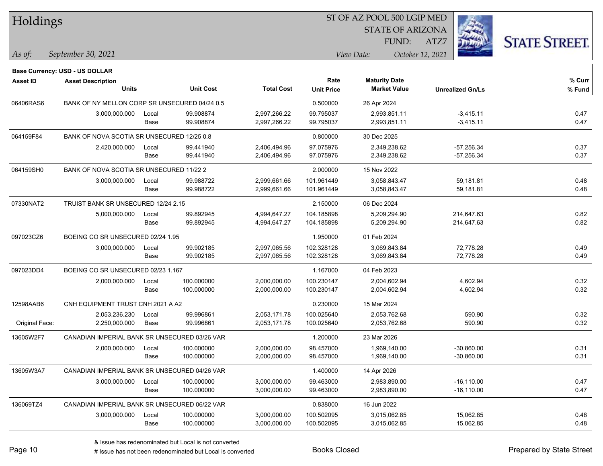| Holdings        |                                               |       |                  |                   | ST OF AZ POOL 500 LGIP MED |                         |                  |                         |                      |  |
|-----------------|-----------------------------------------------|-------|------------------|-------------------|----------------------------|-------------------------|------------------|-------------------------|----------------------|--|
|                 |                                               |       |                  |                   |                            | <b>STATE OF ARIZONA</b> |                  |                         |                      |  |
|                 |                                               |       |                  |                   |                            | FUND:                   | ATZ7             |                         | <b>STATE STREET.</b> |  |
| As of:          | September 30, 2021                            |       |                  |                   |                            | View Date:              | October 12, 2021 |                         |                      |  |
|                 | <b>Base Currency: USD - US DOLLAR</b>         |       |                  |                   |                            |                         |                  |                         |                      |  |
| <b>Asset ID</b> | <b>Asset Description</b>                      |       |                  |                   | Rate                       | <b>Maturity Date</b>    |                  |                         | % Curr               |  |
|                 | <b>Units</b>                                  |       | <b>Unit Cost</b> | <b>Total Cost</b> | <b>Unit Price</b>          | <b>Market Value</b>     |                  | <b>Unrealized Gn/Ls</b> | % Fund               |  |
| 06406RAS6       | BANK OF NY MELLON CORP SR UNSECURED 04/24 0.5 |       |                  |                   | 0.500000                   | 26 Apr 2024             |                  |                         |                      |  |
|                 | 3,000,000.000                                 | Local | 99.908874        | 2,997,266.22      | 99.795037                  | 2,993,851.11            |                  | $-3,415.11$             | 0.47                 |  |
|                 |                                               | Base  | 99.908874        | 2,997,266.22      | 99.795037                  | 2,993,851.11            |                  | $-3,415.11$             | 0.47                 |  |
| 064159F84       | BANK OF NOVA SCOTIA SR UNSECURED 12/25 0.8    |       |                  |                   | 0.800000                   | 30 Dec 2025             |                  |                         |                      |  |
|                 | 2,420,000.000                                 | Local | 99.441940        | 2,406,494.96      | 97.075976                  | 2,349,238.62            |                  | $-57,256.34$            | 0.37                 |  |
|                 |                                               | Base  | 99.441940        | 2,406,494.96      | 97.075976                  | 2,349,238.62            |                  | $-57,256.34$            | 0.37                 |  |
| 064159SH0       | BANK OF NOVA SCOTIA SR UNSECURED 11/22 2      |       |                  |                   | 2.000000                   | 15 Nov 2022             |                  |                         |                      |  |
|                 | 3,000,000.000                                 | Local | 99.988722        | 2,999,661.66      | 101.961449                 | 3,058,843.47            |                  | 59,181.81               | 0.48                 |  |
|                 |                                               | Base  | 99.988722        | 2,999,661.66      | 101.961449                 | 3,058,843.47            |                  | 59,181.81               | 0.48                 |  |
| 07330NAT2       | TRUIST BANK SR UNSECURED 12/24 2.15           |       |                  |                   | 2.150000                   | 06 Dec 2024             |                  |                         |                      |  |
|                 | 5,000,000.000                                 | Local | 99.892945        | 4,994,647.27      | 104.185898                 | 5,209,294.90            |                  | 214,647.63              | 0.82                 |  |
|                 |                                               | Base  | 99.892945        | 4,994,647.27      | 104.185898                 | 5,209,294.90            |                  | 214,647.63              | 0.82                 |  |
| 097023CZ6       | BOEING CO SR UNSECURED 02/24 1.95             |       |                  |                   | 1.950000                   | 01 Feb 2024             |                  |                         |                      |  |
|                 | 3,000,000.000                                 | Local | 99.902185        | 2,997,065.56      | 102.328128                 | 3,069,843.84            |                  | 72,778.28               | 0.49                 |  |
|                 |                                               | Base  | 99.902185        | 2,997,065.56      | 102.328128                 | 3,069,843.84            |                  | 72,778.28               | 0.49                 |  |
| 097023DD4       | BOEING CO SR UNSECURED 02/23 1.167            |       |                  |                   | 1.167000                   | 04 Feb 2023             |                  |                         |                      |  |
|                 | 2,000,000.000                                 | Local | 100.000000       | 2,000,000.00      | 100.230147                 | 2,004,602.94            |                  | 4,602.94                | 0.32                 |  |
|                 |                                               | Base  | 100.000000       | 2,000,000.00      | 100.230147                 | 2,004,602.94            |                  | 4,602.94                | 0.32                 |  |
| 12598AAB6       | CNH EQUIPMENT TRUST CNH 2021 A A2             |       |                  |                   | 0.230000                   | 15 Mar 2024             |                  |                         |                      |  |
|                 | 2,053,236.230                                 | Local | 99.996861        | 2,053,171.78      | 100.025640                 | 2,053,762.68            |                  | 590.90                  | 0.32                 |  |
| Original Face:  | 2,250,000.000                                 | Base  | 99.996861        | 2,053,171.78      | 100.025640                 | 2,053,762.68            |                  | 590.90                  | 0.32                 |  |
| 13605W2F7       | CANADIAN IMPERIAL BANK SR UNSECURED 03/26 VAR |       |                  |                   | 1.200000                   | 23 Mar 2026             |                  |                         |                      |  |
|                 | 2,000,000.000                                 | Local | 100.000000       | 2,000,000.00      | 98.457000                  | 1,969,140.00            |                  | $-30,860.00$            | 0.31                 |  |
|                 |                                               | Base  | 100.000000       | 2,000,000.00      | 98.457000                  | 1,969,140.00            |                  | $-30,860.00$            | 0.31                 |  |
| 13605W3A7       | CANADIAN IMPERIAL BANK SR UNSECURED 04/26 VAR |       |                  |                   | 1.400000                   | 14 Apr 2026             |                  |                         |                      |  |
|                 | 3,000,000.000                                 | Local | 100.000000       | 3,000,000.00      | 99.463000                  | 2,983,890.00            |                  | $-16, 110.00$           | 0.47                 |  |
|                 |                                               | Base  | 100.000000       | 3,000,000.00      | 99.463000                  | 2,983,890.00            |                  | $-16,110.00$            | 0.47                 |  |
| 136069TZ4       | CANADIAN IMPERIAL BANK SR UNSECURED 06/22 VAR |       |                  |                   | 0.838000                   | 16 Jun 2022             |                  |                         |                      |  |
|                 | 3,000,000.000                                 | Local | 100.000000       | 3,000,000.00      | 100.502095                 | 3,015,062.85            |                  | 15,062.85               | 0.48                 |  |
|                 |                                               | Base  | 100.000000       | 3,000,000.00      | 100.502095                 | 3,015,062.85            |                  | 15,062.85               | 0.48                 |  |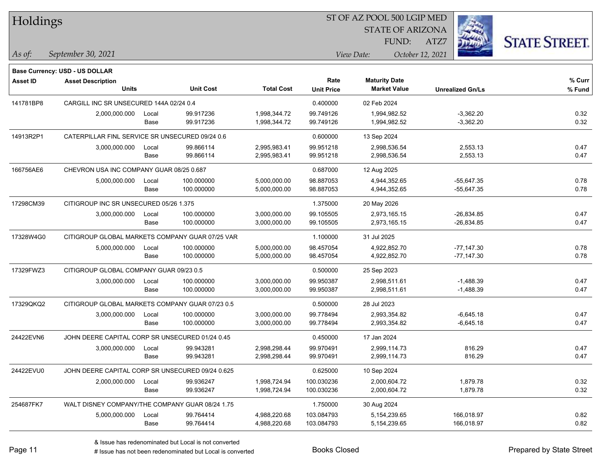| Holdings        |                                                                   |       |                  |                   |                   | ST OF AZ POOL 500 LGIP MED |                         |                      |
|-----------------|-------------------------------------------------------------------|-------|------------------|-------------------|-------------------|----------------------------|-------------------------|----------------------|
|                 |                                                                   |       |                  |                   |                   | <b>STATE OF ARIZONA</b>    |                         |                      |
|                 |                                                                   |       |                  |                   |                   | FUND:                      | ATZ7                    | <b>STATE STREET.</b> |
| As of:          | September 30, 2021                                                |       |                  |                   |                   | View Date:                 | October 12, 2021        |                      |
|                 |                                                                   |       |                  |                   |                   |                            |                         |                      |
| <b>Asset ID</b> | <b>Base Currency: USD - US DOLLAR</b><br><b>Asset Description</b> |       |                  |                   | Rate              | <b>Maturity Date</b>       |                         | % Curr               |
|                 | <b>Units</b>                                                      |       | <b>Unit Cost</b> | <b>Total Cost</b> | <b>Unit Price</b> | <b>Market Value</b>        | <b>Unrealized Gn/Ls</b> | % Fund               |
| 141781BP8       | CARGILL INC SR UNSECURED 144A 02/24 0.4                           |       |                  |                   | 0.400000          | 02 Feb 2024                |                         |                      |
|                 | 2,000,000.000                                                     | Local | 99.917236        | 1,998,344.72      | 99.749126         | 1,994,982.52               | $-3,362.20$             | 0.32                 |
|                 |                                                                   | Base  | 99.917236        | 1,998,344.72      | 99.749126         | 1,994,982.52               | $-3,362.20$             | 0.32                 |
| 14913R2P1       | CATERPILLAR FINL SERVICE SR UNSECURED 09/24 0.6                   |       |                  |                   | 0.600000          | 13 Sep 2024                |                         |                      |
|                 | 3,000,000.000                                                     | Local | 99.866114        | 2,995,983.41      | 99.951218         | 2,998,536.54               | 2,553.13                | 0.47                 |
|                 |                                                                   | Base  | 99.866114        | 2,995,983.41      | 99.951218         | 2,998,536.54               | 2,553.13                | 0.47                 |
| 166756AE6       | CHEVRON USA INC COMPANY GUAR 08/25 0.687                          |       |                  |                   | 0.687000          | 12 Aug 2025                |                         |                      |
|                 | 5,000,000.000                                                     | Local | 100.000000       | 5,000,000.00      | 98.887053         | 4,944,352.65               | $-55,647.35$            | 0.78                 |
|                 |                                                                   | Base  | 100.000000       | 5,000,000.00      | 98.887053         | 4,944,352.65               | $-55,647.35$            | 0.78                 |
| 17298CM39       | CITIGROUP INC SR UNSECURED 05/26 1.375                            |       |                  |                   | 1.375000          | 20 May 2026                |                         |                      |
|                 | 3,000,000.000                                                     | Local | 100.000000       | 3,000,000.00      | 99.105505         | 2,973,165.15               | $-26,834.85$            | 0.47                 |
|                 |                                                                   | Base  | 100.000000       | 3,000,000.00      | 99.105505         | 2,973,165.15               | $-26,834.85$            | 0.47                 |
| 17328W4G0       | CITIGROUP GLOBAL MARKETS COMPANY GUAR 07/25 VAR                   |       |                  |                   | 1.100000          | 31 Jul 2025                |                         |                      |
|                 | 5,000,000.000                                                     | Local | 100.000000       | 5,000,000.00      | 98.457054         | 4,922,852.70               | $-77,147.30$            | 0.78                 |
|                 |                                                                   | Base  | 100.000000       | 5,000,000.00      | 98.457054         | 4,922,852.70               | $-77,147.30$            | 0.78                 |
| 17329FWZ3       | CITIGROUP GLOBAL COMPANY GUAR 09/23 0.5                           |       |                  |                   | 0.500000          | 25 Sep 2023                |                         |                      |
|                 | 3,000,000.000                                                     | Local | 100.000000       | 3,000,000.00      | 99.950387         | 2,998,511.61               | $-1,488.39$             | 0.47                 |
|                 |                                                                   | Base  | 100.000000       | 3,000,000.00      | 99.950387         | 2,998,511.61               | $-1,488.39$             | 0.47                 |
| 17329QKQ2       | CITIGROUP GLOBAL MARKETS COMPANY GUAR 07/23 0.5                   |       |                  |                   | 0.500000          | 28 Jul 2023                |                         |                      |
|                 | 3,000,000.000                                                     | Local | 100.000000       | 3,000,000.00      | 99.778494         | 2,993,354.82               | $-6,645.18$             | 0.47                 |
|                 |                                                                   | Base  | 100.000000       | 3,000,000.00      | 99.778494         | 2,993,354.82               | $-6,645.18$             | 0.47                 |
| 24422EVN6       | JOHN DEERE CAPITAL CORP SR UNSECURED 01/24 0.45                   |       |                  |                   | 0.450000          | 17 Jan 2024                |                         |                      |
|                 | 3,000,000.000                                                     | Local | 99.943281        | 2,998,298.44      | 99.970491         | 2,999,114.73               | 816.29                  | 0.47                 |
|                 |                                                                   | Base  | 99.943281        | 2,998,298.44      | 99.970491         | 2,999,114.73               | 816.29                  | 0.47                 |
| 24422EVU0       | JOHN DEERE CAPITAL CORP SR UNSECURED 09/24 0.625                  |       |                  |                   | 0.625000          | 10 Sep 2024                |                         |                      |
|                 | 2,000,000.000                                                     | Local | 99.936247        | 1,998,724.94      | 100.030236        | 2,000,604.72               | 1,879.78                | 0.32                 |
|                 |                                                                   | Base  | 99.936247        | 1,998,724.94      | 100.030236        | 2,000,604.72               | 1,879.78                | 0.32                 |
| 254687FK7       | WALT DISNEY COMPANY/THE COMPANY GUAR 08/24 1.75                   |       |                  |                   | 1.750000          | 30 Aug 2024                |                         |                      |
|                 | 5,000,000.000                                                     | Local | 99.764414        | 4,988,220.68      | 103.084793        | 5,154,239.65               | 166,018.97              | 0.82                 |
|                 |                                                                   | Base  | 99.764414        | 4,988,220.68      | 103.084793        | 5,154,239.65               | 166,018.97              | 0.82                 |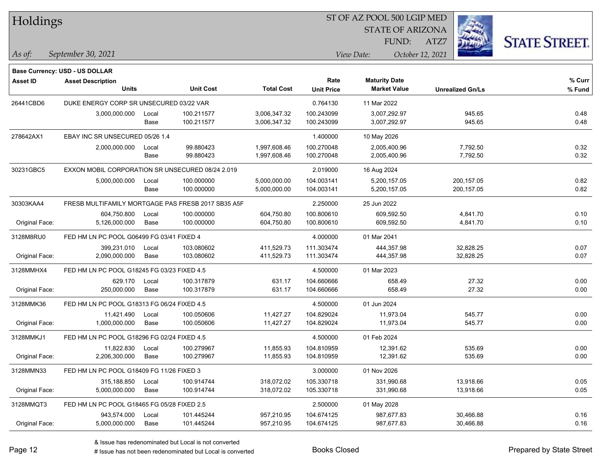| Holdings |  |
|----------|--|
|----------|--|

STATE OF ARIZONA

ATZ7



*September 30, 2021 As of: View Date: October 12, 2021*

**Base Currency: USD - US DOLLAR**

FUND:

| Asset ID       | <b>Asset Description</b><br><b>Units</b>         |       | <b>Unit Cost</b>                                   | <b>Total Cost</b> | Rate<br><b>Unit Price</b> | <b>Maturity Date</b><br><b>Market Value</b> | <b>Unrealized Gn/Ls</b> | % Curr<br>% Fund |
|----------------|--------------------------------------------------|-------|----------------------------------------------------|-------------------|---------------------------|---------------------------------------------|-------------------------|------------------|
| 26441CBD6      | DUKE ENERGY CORP SR UNSECURED 03/22 VAR          |       |                                                    |                   | 0.764130                  | 11 Mar 2022                                 |                         |                  |
|                | 3,000,000.000                                    | Local | 100.211577                                         | 3,006,347.32      | 100.243099                | 3,007,292.97                                | 945.65                  | 0.48             |
|                |                                                  | Base  | 100.211577                                         | 3,006,347.32      | 100.243099                | 3,007,292.97                                | 945.65                  | 0.48             |
| 278642AX1      | EBAY INC SR UNSECURED 05/26 1.4                  |       |                                                    | 1.400000          | 10 May 2026               |                                             |                         |                  |
|                | 2,000,000.000                                    | Local | 99.880423                                          | 1,997,608.46      | 100.270048                | 2,005,400.96                                | 7,792.50                | 0.32             |
|                |                                                  | Base  | 99.880423                                          | 1,997,608.46      | 100.270048                | 2,005,400.96                                | 7,792.50                | 0.32             |
| 30231GBC5      | EXXON MOBIL CORPORATION SR UNSECURED 08/24 2.019 |       |                                                    |                   | 2.019000                  | 16 Aug 2024                                 |                         |                  |
|                | 5,000,000.000                                    | Local | 100.000000                                         | 5,000,000.00      | 104.003141                | 5,200,157.05                                | 200, 157.05             | 0.82             |
|                |                                                  | Base  | 100.000000                                         | 5,000,000.00      | 104.003141                | 5,200,157.05                                | 200, 157.05             | 0.82             |
| 30303KAA4      |                                                  |       | FRESB MULTIFAMILY MORTGAGE PAS FRESB 2017 SB35 A5F |                   | 2.250000                  | 25 Jun 2022                                 |                         |                  |
|                | 604,750.800                                      | Local | 100.000000                                         | 604,750.80        | 100.800610                | 609,592.50                                  | 4,841.70                | 0.10             |
| Original Face: | 5,126,000.000                                    | Base  | 100.000000                                         | 604,750.80        | 100.800610                | 609,592.50                                  | 4,841.70                | 0.10             |
| 3128M8RU0      | FED HM LN PC POOL G06499 FG 03/41 FIXED 4        |       |                                                    | 4.000000          | 01 Mar 2041               |                                             |                         |                  |
|                | 399,231.010                                      | Local | 103.080602                                         | 411,529.73        | 111.303474                | 444,357.98                                  | 32,828.25               | 0.07             |
| Original Face: | 2,090,000.000                                    | Base  | 103.080602                                         | 411,529.73        | 111.303474                | 444,357.98                                  | 32,828.25               | 0.07             |
| 3128MMHX4      | FED HM LN PC POOL G18245 FG 03/23 FIXED 4.5      |       |                                                    | 4.500000          | 01 Mar 2023               |                                             |                         |                  |
|                | 629.170                                          | Local | 100.317879                                         | 631.17            | 104.660666                | 658.49                                      | 27.32                   | 0.00             |
| Original Face: | 250,000.000                                      | Base  | 100.317879                                         | 631.17            | 104.660666                | 658.49                                      | 27.32                   | 0.00             |
| 3128MMK36      | FED HM LN PC POOL G18313 FG 06/24 FIXED 4.5      |       |                                                    |                   | 4.500000                  | 01 Jun 2024                                 |                         |                  |
|                | 11,421.490                                       | Local | 100.050606                                         | 11,427.27         | 104.829024                | 11,973.04                                   | 545.77                  | 0.00             |
| Original Face: | 1,000,000.000                                    | Base  | 100.050606                                         | 11,427.27         | 104.829024                | 11,973.04                                   | 545.77                  | 0.00             |
| 3128MMKJ1      | FED HM LN PC POOL G18296 FG 02/24 FIXED 4.5      |       |                                                    |                   | 4.500000                  | 01 Feb 2024                                 |                         |                  |
|                | 11,822.830                                       | Local | 100.279967                                         | 11,855.93         | 104.810959                | 12,391.62                                   | 535.69                  | 0.00             |
| Original Face: | 2,206,300.000                                    | Base  | 100.279967                                         | 11,855.93         | 104.810959                | 12,391.62                                   | 535.69                  | 0.00             |
| 3128MMN33      | FED HM LN PC POOL G18409 FG 11/26 FIXED 3        |       |                                                    |                   | 3.000000                  | 01 Nov 2026                                 |                         |                  |
|                | 315,188.850                                      | Local | 100.914744                                         | 318,072.02        | 105.330718                | 331,990.68                                  | 13,918.66               | 0.05             |
| Original Face: | 5,000,000.000                                    | Base  | 100.914744                                         | 318,072.02        | 105.330718                | 331,990.68                                  | 13,918.66               | 0.05             |
| 3128MMQT3      | FED HM LN PC POOL G18465 FG 05/28 FIXED 2.5      |       |                                                    |                   | 2.500000                  | 01 May 2028                                 |                         |                  |
|                | 943,574.000                                      | Local | 101.445244                                         | 957,210.95        | 104.674125                | 987,677.83                                  | 30,466.88               | 0.16             |
| Original Face: | 5,000,000.000                                    | Base  | 101.445244                                         | 957,210.95        | 104.674125                | 987,677.83                                  | 30,466.88               | 0.16             |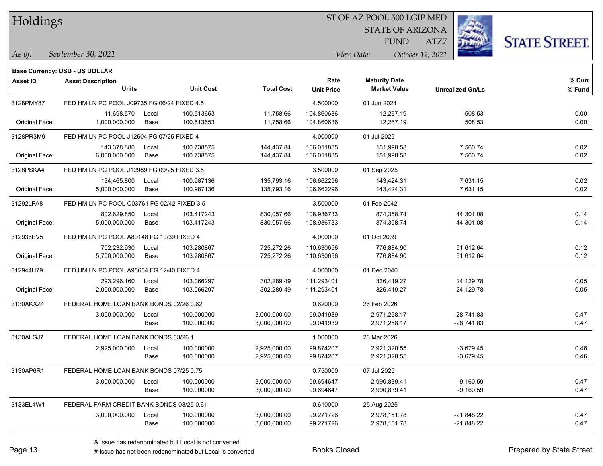Holdings

## ST OF AZ POOL 500 LGIP MED

STATE OF ARIZONA

ATZ7



*September 30, 2021 As of: View Date: October 12, 2021*

**Base Currency: USD - US DOLLAR**

FUND:

| Asset ID       | <b>Asset Description</b><br><b>Units</b>    |       | <b>Unit Cost</b> | <b>Total Cost</b> | Rate              | <b>Maturity Date</b><br><b>Market Value</b> |                         | % Curr<br>% Fund |
|----------------|---------------------------------------------|-------|------------------|-------------------|-------------------|---------------------------------------------|-------------------------|------------------|
|                |                                             |       |                  |                   | <b>Unit Price</b> |                                             | <b>Unrealized Gn/Ls</b> |                  |
| 3128PMY87      | FED HM LN PC POOL J09735 FG 06/24 FIXED 4.5 |       |                  |                   | 4.500000          | 01 Jun 2024                                 |                         |                  |
|                | 11,698.570                                  | Local | 100.513653       | 11,758.66         | 104.860636        | 12,267.19                                   | 508.53                  | 0.00             |
| Original Face: | 1,000,000.000                               | Base  | 100.513653       | 11,758.66         | 104.860636        | 12,267.19                                   | 508.53                  | 0.00             |
| 3128PR3M9      | FED HM LN PC POOL J12604 FG 07/25 FIXED 4   |       |                  |                   | 4.000000          | 01 Jul 2025                                 |                         |                  |
|                | 143,378.880                                 | Local | 100.738575       | 144,437.84        | 106.011835        | 151,998.58                                  | 7,560.74                | 0.02             |
| Original Face: | 6,000,000.000                               | Base  | 100.738575       | 144,437.84        | 106.011835        | 151,998.58                                  | 7,560.74                | 0.02             |
| 3128PSKA4      | FED HM LN PC POOL J12989 FG 09/25 FIXED 3.5 |       |                  |                   | 3.500000          | 01 Sep 2025                                 |                         |                  |
|                | 134,465.800                                 | Local | 100.987136       | 135,793.16        | 106.662296        | 143,424.31                                  | 7,631.15                | 0.02             |
| Original Face: | 5,000,000.000                               | Base  | 100.987136       | 135,793.16        | 106.662296        | 143,424.31                                  | 7,631.15                | 0.02             |
| 31292LFA8      | FED HM LN PC POOL C03761 FG 02/42 FIXED 3.5 |       |                  |                   | 3.500000          | 01 Feb 2042                                 |                         |                  |
|                | 802,629.850                                 | Local | 103.417243       | 830,057.66        | 108.936733        | 874.358.74                                  | 44,301.08               | 0.14             |
| Original Face: | 5,000,000.000                               | Base  | 103.417243       | 830,057.66        | 108.936733        | 874,358.74                                  | 44,301.08               | 0.14             |
| 312936EV5      | FED HM LN PC POOL A89148 FG 10/39 FIXED 4   |       |                  |                   | 4.000000          | 01 Oct 2039                                 |                         |                  |
|                | 702,232.930                                 | Local | 103.280867       | 725,272.26        | 110.630656        | 776,884.90                                  | 51,612.64               | 0.12             |
| Original Face: | 5,700,000.000                               | Base  | 103.280867       | 725,272.26        | 110.630656        | 776,884.90                                  | 51,612.64               | 0.12             |
| 312944H79      | FED HM LN PC POOL A95654 FG 12/40 FIXED 4   |       |                  |                   | 4.000000          | 01 Dec 2040                                 |                         |                  |
|                | 293,296.160                                 | Local | 103.066297       | 302,289.49        | 111.293401        | 326,419.27                                  | 24,129.78               | 0.05             |
| Original Face: | 2,000,000.000                               | Base  | 103.066297       | 302,289.49        | 111.293401        | 326,419.27                                  | 24,129.78               | 0.05             |
| 3130AKXZ4      | FEDERAL HOME LOAN BANK BONDS 02/26 0.62     |       |                  |                   | 0.620000          | 26 Feb 2026                                 |                         |                  |
|                | 3,000,000.000                               | Local | 100.000000       | 3,000,000.00      | 99.041939         | 2,971,258.17                                | $-28,741.83$            | 0.47             |
|                |                                             | Base  | 100.000000       | 3,000,000.00      | 99.041939         | 2,971,258.17                                | $-28,741.83$            | 0.47             |
| 3130ALGJ7      | FEDERAL HOME LOAN BANK BONDS 03/26 1        |       |                  |                   | 1.000000          | 23 Mar 2026                                 |                         |                  |
|                | 2,925,000.000                               | Local | 100.000000       | 2,925,000.00      | 99.874207         | 2,921,320.55                                | $-3,679.45$             | 0.46             |
|                |                                             | Base  | 100.000000       | 2,925,000.00      | 99.874207         | 2,921,320.55                                | $-3,679.45$             | 0.46             |
| 3130AP6R1      | FEDERAL HOME LOAN BANK BONDS 07/25 0.75     |       |                  |                   | 0.750000          | 07 Jul 2025                                 |                         |                  |
|                | 3,000,000.000                               | Local | 100.000000       | 3,000,000.00      | 99.694647         | 2,990,839.41                                | $-9,160.59$             | 0.47             |
|                |                                             | Base  | 100.000000       | 3,000,000.00      | 99.694647         | 2,990,839.41                                | $-9,160.59$             | 0.47             |
| 3133EL4W1      | FEDERAL FARM CREDIT BANK BONDS 08/25 0.61   |       |                  |                   | 0.610000          | 25 Aug 2025                                 |                         |                  |
|                | 3,000,000.000                               | Local | 100.000000       | 3,000,000.00      | 99.271726         | 2,978,151.78                                | $-21,848.22$            | 0.47             |
|                |                                             | Base  | 100.000000       | 3,000,000.00      | 99.271726         | 2,978,151.78                                | $-21,848.22$            | 0.47             |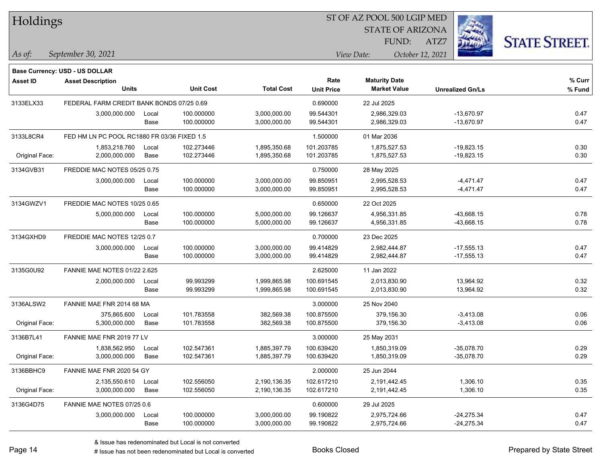| Holdings        |                                             |       |                  |                   |                           | ST OF AZ POOL 500 LGIP MED                  |                         |                      |
|-----------------|---------------------------------------------|-------|------------------|-------------------|---------------------------|---------------------------------------------|-------------------------|----------------------|
|                 |                                             |       |                  |                   |                           | <b>STATE OF ARIZONA</b>                     |                         |                      |
|                 |                                             |       |                  |                   |                           | FUND:                                       | ATZ7                    | <b>STATE STREET.</b> |
| $\vert$ As of:  | September 30, 2021                          |       |                  |                   |                           | View Date:                                  | October 12, 2021        |                      |
|                 |                                             |       |                  |                   |                           |                                             |                         |                      |
|                 | Base Currency: USD - US DOLLAR              |       |                  |                   |                           |                                             |                         |                      |
| <b>Asset ID</b> | <b>Asset Description</b><br><b>Units</b>    |       | <b>Unit Cost</b> | <b>Total Cost</b> | Rate<br><b>Unit Price</b> | <b>Maturity Date</b><br><b>Market Value</b> | <b>Unrealized Gn/Ls</b> | $%$ Curr<br>% Fund   |
| 3133ELX33       | FEDERAL FARM CREDIT BANK BONDS 07/25 0.69   |       |                  |                   | 0.690000                  | 22 Jul 2025                                 |                         |                      |
|                 | 3,000,000.000                               | Local | 100.000000       | 3,000,000.00      | 99.544301                 | 2,986,329.03                                | $-13,670.97$            | 0.47                 |
|                 |                                             | Base  | 100.000000       | 3,000,000.00      | 99.544301                 | 2,986,329.03                                | $-13,670.97$            | 0.47                 |
| 3133L8CR4       | FED HM LN PC POOL RC1880 FR 03/36 FIXED 1.5 |       |                  |                   | 1.500000                  | 01 Mar 2036                                 |                         |                      |
|                 | 1,853,218.760                               | Local | 102.273446       | 1,895,350.68      | 101.203785                | 1,875,527.53                                | $-19,823.15$            | 0.30                 |
| Original Face:  | 2,000,000.000                               | Base  | 102.273446       | 1,895,350.68      | 101.203785                | 1,875,527.53                                | $-19,823.15$            | 0.30                 |
| 3134GVB31       | FREDDIE MAC NOTES 05/25 0.75                |       |                  |                   | 0.750000                  | 28 May 2025                                 |                         |                      |
|                 | 3,000,000.000                               | Local | 100.000000       | 3,000,000.00      | 99.850951                 | 2,995,528.53                                | $-4,471.47$             | 0.47                 |
|                 |                                             | Base  | 100.000000       | 3,000,000.00      | 99.850951                 | 2,995,528.53                                | $-4,471.47$             | 0.47                 |
| 3134GWZV1       | FREDDIE MAC NOTES 10/25 0.65                |       |                  |                   | 0.650000                  | 22 Oct 2025                                 |                         |                      |
|                 | 5,000,000.000                               | Local | 100.000000       | 5,000,000.00      | 99.126637                 | 4,956,331.85                                | $-43,668.15$            | 0.78                 |
|                 |                                             | Base  | 100.000000       | 5,000,000.00      | 99.126637                 | 4,956,331.85                                | $-43,668.15$            | 0.78                 |
| 3134GXHD9       | FREDDIE MAC NOTES 12/25 0.7                 |       |                  |                   | 0.700000                  | 23 Dec 2025                                 |                         |                      |
|                 | 3,000,000.000                               | Local | 100.000000       | 3,000,000.00      | 99.414829                 | 2,982,444.87                                | $-17,555.13$            | 0.47                 |
|                 |                                             | Base  | 100.000000       | 3,000,000.00      | 99.414829                 | 2,982,444.87                                | $-17,555.13$            | 0.47                 |
| 3135G0U92       | FANNIE MAE NOTES 01/22 2.625                |       |                  |                   | 2.625000                  | 11 Jan 2022                                 |                         |                      |
|                 | 2,000,000.000                               | Local | 99.993299        | 1,999,865.98      | 100.691545                | 2,013,830.90                                | 13,964.92               | 0.32                 |
|                 |                                             | Base  | 99.993299        | 1,999,865.98      | 100.691545                | 2,013,830.90                                | 13,964.92               | 0.32                 |
| 3136ALSW2       | FANNIE MAE FNR 2014 68 MA                   |       |                  |                   | 3.000000                  | 25 Nov 2040                                 |                         |                      |
|                 | 375.865.600                                 | Local | 101.783558       | 382,569.38        | 100.875500                | 379,156.30                                  | $-3,413.08$             | 0.06                 |
| Original Face:  | 5,300,000.000                               | Base  | 101.783558       | 382,569.38        | 100.875500                | 379,156.30                                  | $-3,413.08$             | 0.06                 |
| 3136B7L41       | FANNIE MAE FNR 2019 77 LV                   |       |                  |                   | 3.000000                  | 25 May 2031                                 |                         |                      |
|                 | 1,838,562.950                               | Local | 102.547361       | 1,885,397.79      | 100.639420                | 1,850,319.09                                | $-35,078.70$            | 0.29                 |
| Original Face:  | 3,000,000.000                               | Base  | 102.547361       | 1,885,397.79      | 100.639420                | 1,850,319.09                                | $-35,078.70$            | 0.29                 |
| 3136BBHC9       | FANNIE MAE FNR 2020 54 GY                   |       |                  |                   | 2.000000                  | 25 Jun 2044                                 |                         |                      |
|                 | 2,135,550.610                               | Local | 102.556050       | 2,190,136.35      | 102.617210                | 2,191,442.45                                | 1,306.10                | 0.35                 |
| Original Face:  | 3,000,000.000                               | Base  | 102.556050       | 2,190,136.35      | 102.617210                | 2,191,442.45                                | 1,306.10                | 0.35                 |
| 3136G4D75       | FANNIE MAE NOTES 07/25 0.6                  |       |                  |                   | 0.600000                  | 29 Jul 2025                                 |                         |                      |
|                 | 3,000,000.000                               | Local | 100.000000       | 3,000,000.00      | 99.190822                 | 2,975,724.66                                | $-24,275.34$            | 0.47                 |
|                 |                                             | Base  | 100.000000       | 3,000,000.00      | 99.190822                 | 2,975,724.66                                | $-24,275.34$            | 0.47                 |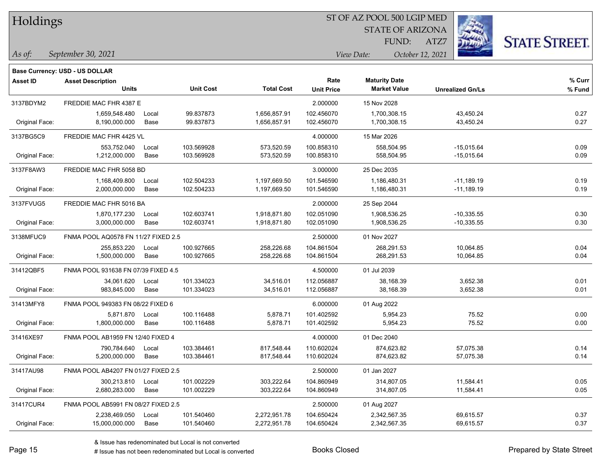| Holdings |  |
|----------|--|
|----------|--|

STATE OF ARIZONA

ATZ7



*September 30, 2021 As of: View Date: October 12, 2021*

**Base Currency: USD - US DOLLAR**

FUND:

| <b>Asset ID</b> | <b>Asset Description</b>            |       |                  |                   | Rate              | <b>Maturity Date</b> |                         | % Curr |
|-----------------|-------------------------------------|-------|------------------|-------------------|-------------------|----------------------|-------------------------|--------|
|                 | <b>Units</b>                        |       | <b>Unit Cost</b> | <b>Total Cost</b> | <b>Unit Price</b> | <b>Market Value</b>  | <b>Unrealized Gn/Ls</b> | % Fund |
| 3137BDYM2       | FREDDIE MAC FHR 4387 E              |       |                  |                   | 2.000000          | 15 Nov 2028          |                         |        |
|                 | 1,659,548.480                       | Local | 99.837873        | 1,656,857.91      | 102.456070        | 1,700,308.15         | 43,450.24               | 0.27   |
| Original Face:  | 8,190,000.000                       | Base  | 99.837873        | 1,656,857.91      | 102.456070        | 1,700,308.15         | 43,450.24               | 0.27   |
| 3137BG5C9       | <b>FREDDIE MAC FHR 4425 VL</b>      |       |                  |                   | 4.000000          | 15 Mar 2026          |                         |        |
|                 | 553,752.040                         | Local | 103.569928       | 573,520.59        | 100.858310        | 558.504.95           | $-15,015.64$            | 0.09   |
| Original Face:  | 1,212,000.000                       | Base  | 103.569928       | 573,520.59        | 100.858310        | 558,504.95           | $-15,015.64$            | 0.09   |
| 3137F8AW3       | FREDDIE MAC FHR 5058 BD             |       |                  |                   | 3.000000          | 25 Dec 2035          |                         |        |
|                 | 1,168,409.800                       | Local | 102.504233       | 1,197,669.50      | 101.546590        | 1,186,480.31         | $-11,189.19$            | 0.19   |
| Original Face:  | 2,000,000.000                       | Base  | 102.504233       | 1,197,669.50      | 101.546590        | 1,186,480.31         | $-11,189.19$            | 0.19   |
| 3137FVUG5       | FREDDIE MAC FHR 5016 BA             |       |                  |                   | 2.000000          | 25 Sep 2044          |                         |        |
|                 | 1,870,177.230                       | Local | 102.603741       | 1,918,871.80      | 102.051090        | 1,908,536.25         | $-10,335.55$            | 0.30   |
| Original Face:  | 3,000,000.000                       | Base  | 102.603741       | 1,918,871.80      | 102.051090        | 1,908,536.25         | $-10,335.55$            | 0.30   |
| 3138MFUC9       | FNMA POOL AQ0578 FN 11/27 FIXED 2.5 |       |                  |                   | 2.500000          | 01 Nov 2027          |                         |        |
|                 | 255,853.220                         | Local | 100.927665       | 258,226.68        | 104.861504        | 268.291.53           | 10,064.85               | 0.04   |
| Original Face:  | 1,500,000.000                       | Base  | 100.927665       | 258,226.68        | 104.861504        | 268,291.53           | 10,064.85               | 0.04   |
| 31412QBF5       | FNMA POOL 931638 FN 07/39 FIXED 4.5 |       |                  |                   | 4.500000          | 01 Jul 2039          |                         |        |
|                 | 34,061.620                          | Local | 101.334023       | 34,516.01         | 112.056887        | 38,168.39            | 3,652.38                | 0.01   |
| Original Face:  | 983,845.000                         | Base  | 101.334023       | 34,516.01         | 112.056887        | 38,168.39            | 3,652.38                | 0.01   |
| 31413MFY8       | FNMA POOL 949383 FN 08/22 FIXED 6   |       |                  |                   | 6.000000          | 01 Aug 2022          |                         |        |
|                 | 5,871.870                           | Local | 100.116488       | 5,878.71          | 101.402592        | 5,954.23             | 75.52                   | 0.00   |
| Original Face:  | 1,800,000.000                       | Base  | 100.116488       | 5,878.71          | 101.402592        | 5,954.23             | 75.52                   | 0.00   |
| 31416XE97       | FNMA POOL AB1959 FN 12/40 FIXED 4   |       |                  |                   | 4.000000          | 01 Dec 2040          |                         |        |
|                 | 790,784.640                         | Local | 103.384461       | 817,548.44        | 110.602024        | 874,623.82           | 57,075.38               | 0.14   |
| Original Face:  | 5,200,000.000                       | Base  | 103.384461       | 817,548.44        | 110.602024        | 874,623.82           | 57,075.38               | 0.14   |
| 31417AU98       | FNMA POOL AB4207 FN 01/27 FIXED 2.5 |       |                  |                   | 2.500000          | 01 Jan 2027          |                         |        |
|                 | 300,213.810                         | Local | 101.002229       | 303,222.64        | 104.860949        | 314,807.05           | 11,584.41               | 0.05   |
| Original Face:  | 2,680,283.000                       | Base  | 101.002229       | 303,222.64        | 104.860949        | 314,807.05           | 11,584.41               | 0.05   |
| 31417CUR4       | FNMA POOL AB5991 FN 08/27 FIXED 2.5 |       |                  |                   | 2.500000          | 01 Aug 2027          |                         |        |
|                 | 2,238,469.050                       | Local | 101.540460       | 2,272,951.78      | 104.650424        | 2,342,567.35         | 69,615.57               | 0.37   |
| Original Face:  | 15,000,000.000                      | Base  | 101.540460       | 2,272,951.78      | 104.650424        | 2,342,567.35         | 69,615.57               | 0.37   |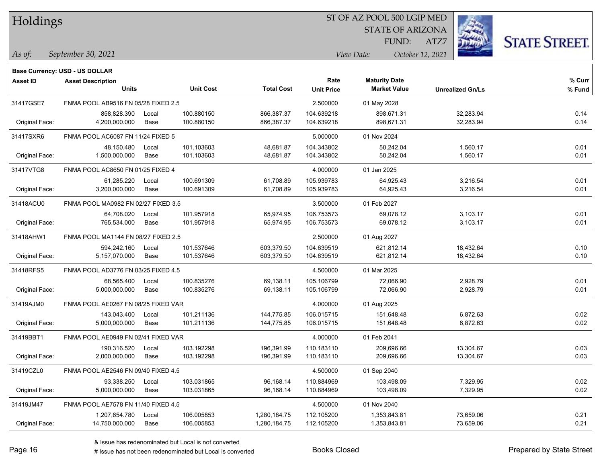| Holdings |
|----------|
|          |

STATE OF ARIZONA

ATZ7



*September 30, 2021 As of: View Date: October 12, 2021*

**Base Currency: USD - US DOLLAR**

FUND:

| <b>Asset ID</b> | <b>Asset Description</b>            |       |                  |                   | Rate              | <b>Maturity Date</b> |                         | % Curr |
|-----------------|-------------------------------------|-------|------------------|-------------------|-------------------|----------------------|-------------------------|--------|
|                 | <b>Units</b>                        |       | <b>Unit Cost</b> | <b>Total Cost</b> | <b>Unit Price</b> | <b>Market Value</b>  | <b>Unrealized Gn/Ls</b> | % Fund |
| 31417GSE7       | FNMA POOL AB9516 FN 05/28 FIXED 2.5 |       |                  |                   | 2.500000          | 01 May 2028          |                         |        |
|                 | 858,828.390                         | Local | 100.880150       | 866,387.37        | 104.639218        | 898,671.31           | 32,283.94               | 0.14   |
| Original Face:  | 4,200,000.000                       | Base  | 100.880150       | 866,387.37        | 104.639218        | 898,671.31           | 32,283.94               | 0.14   |
| 31417SXR6       | FNMA POOL AC6087 FN 11/24 FIXED 5   |       |                  |                   | 5.000000          | 01 Nov 2024          |                         |        |
|                 | 48,150.480                          | Local | 101.103603       | 48,681.87         | 104.343802        | 50,242.04            | 1,560.17                | 0.01   |
| Original Face:  | 1,500,000.000                       | Base  | 101.103603       | 48,681.87         | 104.343802        | 50,242.04            | 1,560.17                | 0.01   |
| 31417VTG8       | FNMA POOL AC8650 FN 01/25 FIXED 4   |       |                  |                   | 4.000000          | 01 Jan 2025          |                         |        |
|                 | 61,285.220                          | Local | 100.691309       | 61,708.89         | 105.939783        | 64,925.43            | 3,216.54                | 0.01   |
| Original Face:  | 3,200,000.000                       | Base  | 100.691309       | 61,708.89         | 105.939783        | 64,925.43            | 3,216.54                | 0.01   |
| 31418ACU0       | FNMA POOL MA0982 FN 02/27 FIXED 3.5 |       |                  |                   | 3.500000          | 01 Feb 2027          |                         |        |
|                 | 64,708.020                          | Local | 101.957918       | 65,974.95         | 106.753573        | 69,078.12            | 3,103.17                | 0.01   |
| Original Face:  | 765,534.000                         | Base  | 101.957918       | 65,974.95         | 106.753573        | 69,078.12            | 3,103.17                | 0.01   |
| 31418AHW1       | FNMA POOL MA1144 FN 08/27 FIXED 2.5 |       |                  |                   | 2.500000          | 01 Aug 2027          |                         |        |
|                 | 594,242.160                         | Local | 101.537646       | 603,379.50        | 104.639519        | 621,812.14           | 18,432.64               | 0.10   |
| Original Face:  | 5,157,070.000                       | Base  | 101.537646       | 603,379.50        | 104.639519        | 621,812.14           | 18,432.64               | 0.10   |
| 31418RFS5       | FNMA POOL AD3776 FN 03/25 FIXED 4.5 |       |                  |                   | 4.500000          | 01 Mar 2025          |                         |        |
|                 | 68,565.400                          | Local | 100.835276       | 69,138.11         | 105.106799        | 72,066.90            | 2,928.79                | 0.01   |
| Original Face:  | 5,000,000.000                       | Base  | 100.835276       | 69,138.11         | 105.106799        | 72,066.90            | 2,928.79                | 0.01   |
| 31419AJM0       | FNMA POOL AE0267 FN 08/25 FIXED VAR |       |                  |                   | 4.000000          | 01 Aug 2025          |                         |        |
|                 | 143,043.400                         | Local | 101.211136       | 144,775.85        | 106.015715        | 151,648.48           | 6,872.63                | 0.02   |
| Original Face:  | 5,000,000.000                       | Base  | 101.211136       | 144,775.85        | 106.015715        | 151,648.48           | 6,872.63                | 0.02   |
| 31419BBT1       | FNMA POOL AE0949 FN 02/41 FIXED VAR |       |                  |                   | 4.000000          | 01 Feb 2041          |                         |        |
|                 | 190,316.520                         | Local | 103.192298       | 196,391.99        | 110.183110        | 209,696.66           | 13,304.67               | 0.03   |
| Original Face:  | 2,000,000.000                       | Base  | 103.192298       | 196,391.99        | 110.183110        | 209,696.66           | 13,304.67               | 0.03   |
| 31419CZL0       | FNMA POOL AE2546 FN 09/40 FIXED 4.5 |       |                  |                   | 4.500000          | 01 Sep 2040          |                         |        |
|                 | 93,338.250                          | Local | 103.031865       | 96,168.14         | 110.884969        | 103,498.09           | 7,329.95                | 0.02   |
| Original Face:  | 5,000,000.000                       | Base  | 103.031865       | 96,168.14         | 110.884969        | 103,498.09           | 7,329.95                | 0.02   |
| 31419JM47       | FNMA POOL AE7578 FN 11/40 FIXED 4.5 |       |                  |                   | 4.500000          | 01 Nov 2040          |                         |        |
|                 | 1,207,654.780                       | Local | 106.005853       | 1,280,184.75      | 112.105200        | 1,353,843.81         | 73,659.06               | 0.21   |
| Original Face:  | 14,750,000.000                      | Base  | 106.005853       | 1,280,184.75      | 112.105200        | 1,353,843.81         | 73,659.06               | 0.21   |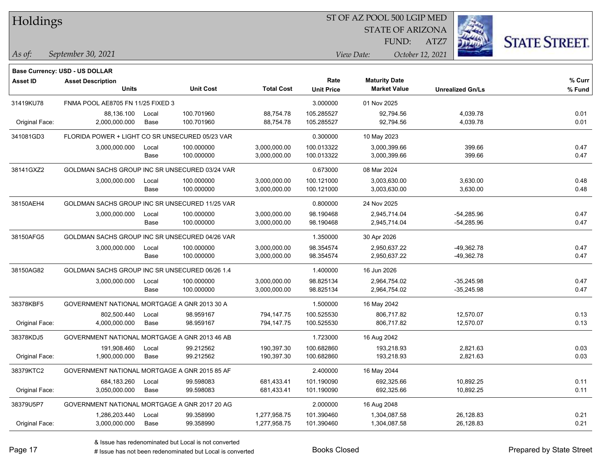| Holdings        |                                                            |       |                  |                   |                   | ST OF AZ POOL 500 LGIP MED |                  |                         |                      |
|-----------------|------------------------------------------------------------|-------|------------------|-------------------|-------------------|----------------------------|------------------|-------------------------|----------------------|
|                 |                                                            |       |                  |                   |                   | <b>STATE OF ARIZONA</b>    |                  |                         |                      |
|                 |                                                            |       |                  |                   |                   | FUND:                      | ATZ7             |                         | <b>STATE STREET.</b> |
| As of:          | September 30, 2021                                         |       |                  |                   |                   | View Date:                 | October 12, 2021 |                         |                      |
|                 |                                                            |       |                  |                   |                   |                            |                  |                         |                      |
| <b>Asset ID</b> | Base Currency: USD - US DOLLAR<br><b>Asset Description</b> |       |                  |                   | Rate              | <b>Maturity Date</b>       |                  |                         | % Curr               |
|                 | <b>Units</b>                                               |       | <b>Unit Cost</b> | <b>Total Cost</b> | <b>Unit Price</b> | <b>Market Value</b>        |                  | <b>Unrealized Gn/Ls</b> | % Fund               |
| 31419KU78       | FNMA POOL AE8705 FN 11/25 FIXED 3                          |       |                  |                   | 3.000000          | 01 Nov 2025                |                  |                         |                      |
|                 | 88.136.100                                                 | Local | 100.701960       | 88,754.78         | 105.285527        | 92,794.56                  |                  | 4,039.78                | 0.01                 |
| Original Face:  | 2,000,000.000                                              | Base  | 100.701960       | 88,754.78         | 105.285527        | 92,794.56                  |                  | 4,039.78                | 0.01                 |
| 341081GD3       | FLORIDA POWER + LIGHT CO SR UNSECURED 05/23 VAR            |       |                  |                   | 0.300000          | 10 May 2023                |                  |                         |                      |
|                 | 3,000,000.000                                              | Local | 100.000000       | 3,000,000.00      | 100.013322        | 3,000,399.66               |                  | 399.66                  | 0.47                 |
|                 |                                                            | Base  | 100.000000       | 3,000,000.00      | 100.013322        | 3,000,399.66               |                  | 399.66                  | 0.47                 |
| 38141GXZ2       | GOLDMAN SACHS GROUP INC SR UNSECURED 03/24 VAR             |       |                  |                   | 0.673000          | 08 Mar 2024                |                  |                         |                      |
|                 | 3,000,000.000                                              | Local | 100.000000       | 3,000,000.00      | 100.121000        | 3,003,630.00               |                  | 3,630.00                | 0.48                 |
|                 |                                                            | Base  | 100.000000       | 3,000,000.00      | 100.121000        | 3,003,630.00               |                  | 3,630.00                | 0.48                 |
| 38150AEH4       | GOLDMAN SACHS GROUP INC SR UNSECURED 11/25 VAR             |       |                  |                   | 0.800000          | 24 Nov 2025                |                  |                         |                      |
|                 | 3,000,000.000                                              | Local | 100.000000       | 3,000,000.00      | 98.190468         | 2,945,714.04               |                  | $-54,285.96$            | 0.47                 |
|                 |                                                            | Base  | 100.000000       | 3,000,000.00      | 98.190468         | 2,945,714.04               |                  | $-54,285.96$            | 0.47                 |
| 38150AFG5       | GOLDMAN SACHS GROUP INC SR UNSECURED 04/26 VAR             |       |                  |                   | 1.350000          | 30 Apr 2026                |                  |                         |                      |
|                 | 3,000,000.000                                              | Local | 100.000000       | 3,000,000.00      | 98.354574         | 2,950,637.22               |                  | $-49,362.78$            | 0.47                 |
|                 |                                                            | Base  | 100.000000       | 3,000,000.00      | 98.354574         | 2,950,637.22               |                  | -49,362.78              | 0.47                 |
| 38150AG82       | GOLDMAN SACHS GROUP INC SR UNSECURED 06/26 1.4             |       |                  |                   | 1.400000          | 16 Jun 2026                |                  |                         |                      |
|                 | 3,000,000.000                                              | Local | 100.000000       | 3,000,000.00      | 98.825134         | 2,964,754.02               |                  | $-35,245.98$            | 0.47                 |
|                 |                                                            | Base  | 100.000000       | 3,000,000.00      | 98.825134         | 2,964,754.02               |                  | $-35,245.98$            | 0.47                 |
| 38378KBF5       | GOVERNMENT NATIONAL MORTGAGE A GNR 2013 30 A               |       |                  |                   | 1.500000          | 16 May 2042                |                  |                         |                      |
|                 | 802,500.440                                                | Local | 98.959167        | 794,147.75        | 100.525530        | 806,717.82                 |                  | 12,570.07               | 0.13                 |
| Original Face:  | 4,000,000.000                                              | Base  | 98.959167        | 794,147.75        | 100.525530        | 806,717.82                 |                  | 12,570.07               | 0.13                 |
| 38378KDJ5       | GOVERNMENT NATIONAL MORTGAGE A GNR 2013 46 AB              |       |                  |                   | 1.723000          | 16 Aug 2042                |                  |                         |                      |
|                 | 191,908.460                                                | Local | 99.212562        | 190.397.30        | 100.682860        | 193,218.93                 |                  | 2,821.63                | 0.03                 |
| Original Face:  | 1,900,000.000                                              | Base  | 99.212562        | 190,397.30        | 100.682860        | 193,218.93                 |                  | 2,821.63                | 0.03                 |
| 38379KTC2       | GOVERNMENT NATIONAL MORTGAGE A GNR 2015 85 AF              |       |                  |                   | 2.400000          | 16 May 2044                |                  |                         |                      |
|                 | 684,183.260                                                | Local | 99.598083        | 681,433.41        | 101.190090        | 692,325.66                 |                  | 10,892.25               | 0.11                 |
| Original Face:  | 3,050,000.000                                              | Base  | 99.598083        | 681,433.41        | 101.190090        | 692,325.66                 |                  | 10,892.25               | 0.11                 |
| 38379U5P7       | GOVERNMENT NATIONAL MORTGAGE A GNR 2017 20 AG              |       |                  |                   | 2.000000          | 16 Aug 2048                |                  |                         |                      |
|                 | 1,286,203.440                                              | Local | 99.358990        | 1,277,958.75      | 101.390460        | 1,304,087.58               |                  | 26,128.83               | 0.21                 |
| Original Face:  | 3,000,000.000                                              | Base  | 99.358990        | 1,277,958.75      | 101.390460        | 1,304,087.58               |                  | 26,128.83               | 0.21                 |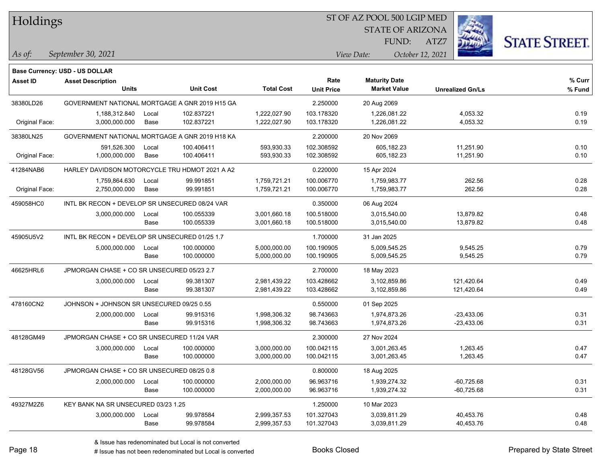| Holdings        |                                                |       |                  |                   | ST OF AZ POOL 500 LGIP MED |                         |                  |                         |                      |
|-----------------|------------------------------------------------|-------|------------------|-------------------|----------------------------|-------------------------|------------------|-------------------------|----------------------|
|                 |                                                |       |                  |                   |                            | <b>STATE OF ARIZONA</b> |                  |                         |                      |
|                 |                                                |       |                  |                   |                            | FUND:                   | ATZ7             |                         | <b>STATE STREET.</b> |
| As of:          | September 30, 2021                             |       |                  |                   |                            | View Date:              | October 12, 2021 |                         |                      |
|                 | Base Currency: USD - US DOLLAR                 |       |                  |                   |                            |                         |                  |                         |                      |
| <b>Asset ID</b> | <b>Asset Description</b>                       |       |                  |                   | Rate                       | <b>Maturity Date</b>    |                  |                         | % Curr               |
|                 | <b>Units</b>                                   |       | <b>Unit Cost</b> | <b>Total Cost</b> | <b>Unit Price</b>          | <b>Market Value</b>     |                  | <b>Unrealized Gn/Ls</b> | % Fund               |
| 38380LD26       | GOVERNMENT NATIONAL MORTGAGE A GNR 2019 H15 GA |       |                  |                   | 2.250000                   | 20 Aug 2069             |                  |                         |                      |
|                 | 1,188,312.840                                  | Local | 102.837221       | 1,222,027.90      | 103.178320                 | 1,226,081.22            |                  | 4,053.32                | 0.19                 |
| Original Face:  | 3,000,000.000                                  | Base  | 102.837221       | 1,222,027.90      | 103.178320                 | 1,226,081.22            |                  | 4,053.32                | 0.19                 |
| 38380LN25       | GOVERNMENT NATIONAL MORTGAGE A GNR 2019 H18 KA |       |                  |                   | 2.200000                   | 20 Nov 2069             |                  |                         |                      |
|                 | 591,526.300                                    | Local | 100.406411       | 593,930.33        | 102.308592                 | 605,182.23              |                  | 11,251.90               | 0.10                 |
| Original Face:  | 1,000,000.000                                  | Base  | 100.406411       | 593,930.33        | 102.308592                 | 605,182.23              |                  | 11,251.90               | 0.10                 |
| 41284NAB6       | HARLEY DAVIDSON MOTORCYCLE TRU HDMOT 2021 A A2 |       |                  |                   | 0.220000                   | 15 Apr 2024             |                  |                         |                      |
|                 | 1,759,864.630                                  | Local | 99.991851        | 1,759,721.21      | 100.006770                 | 1,759,983.77            |                  | 262.56                  | 0.28                 |
| Original Face:  | 2,750,000.000                                  | Base  | 99.991851        | 1,759,721.21      | 100.006770                 | 1,759,983.77            |                  | 262.56                  | 0.28                 |
| 459058HC0       | INTL BK RECON + DEVELOP SR UNSECURED 08/24 VAR |       |                  |                   | 0.350000                   | 06 Aug 2024             |                  |                         |                      |
|                 | 3,000,000.000                                  | Local | 100.055339       | 3,001,660.18      | 100.518000                 | 3,015,540.00            |                  | 13,879.82               | 0.48                 |
|                 |                                                | Base  | 100.055339       | 3,001,660.18      | 100.518000                 | 3,015,540.00            |                  | 13,879.82               | 0.48                 |
| 45905U5V2       | INTL BK RECON + DEVELOP SR UNSECURED 01/25 1.7 |       |                  | 1.700000          | 31 Jan 2025                |                         |                  |                         |                      |
|                 | 5,000,000.000                                  | Local | 100.000000       | 5,000,000.00      | 100.190905                 | 5,009,545.25            |                  | 9,545.25                | 0.79                 |
|                 |                                                | Base  | 100.000000       | 5,000,000.00      | 100.190905                 | 5,009,545.25            |                  | 9,545.25                | 0.79                 |
| 46625HRL6       | JPMORGAN CHASE + CO SR UNSECURED 05/23 2.7     |       |                  |                   | 2.700000                   | 18 May 2023             |                  |                         |                      |
|                 | 3,000,000.000                                  | Local | 99.381307        | 2,981,439.22      | 103.428662                 | 3,102,859.86            |                  | 121,420.64              | 0.49                 |
|                 |                                                | Base  | 99.381307        | 2,981,439.22      | 103.428662                 | 3,102,859.86            |                  | 121,420.64              | 0.49                 |
| 478160CN2       | JOHNSON + JOHNSON SR UNSECURED 09/25 0.55      |       |                  |                   | 0.550000                   | 01 Sep 2025             |                  |                         |                      |
|                 | 2,000,000.000                                  | Local | 99.915316        | 1,998,306.32      | 98.743663                  | 1,974,873.26            |                  | $-23,433.06$            | 0.31                 |
|                 |                                                | Base  | 99.915316        | 1,998,306.32      | 98.743663                  | 1,974,873.26            |                  | -23,433.06              | 0.31                 |
| 48128GM49       | JPMORGAN CHASE + CO SR UNSECURED 11/24 VAR     |       |                  |                   | 2.300000                   | 27 Nov 2024             |                  |                         |                      |
|                 | 3,000,000.000                                  | Local | 100.000000       | 3,000,000.00      | 100.042115                 | 3,001,263.45            |                  | 1,263.45                | 0.47                 |
|                 |                                                | Base  | 100.000000       | 3,000,000.00      | 100.042115                 | 3,001,263.45            |                  | 1,263.45                | 0.47                 |
| 48128GV56       | JPMORGAN CHASE + CO SR UNSECURED 08/25 0.8     |       |                  |                   | 0.800000                   | 18 Aug 2025             |                  |                         |                      |
|                 | 2,000,000.000                                  | Local | 100.000000       | 2,000,000.00      | 96.963716                  | 1,939,274.32            |                  | $-60,725.68$            | 0.31                 |
|                 |                                                | Base  | 100.000000       | 2,000,000.00      | 96.963716                  | 1,939,274.32            |                  | $-60,725.68$            | 0.31                 |
| 49327M2Z6       | KEY BANK NA SR UNSECURED 03/23 1.25            |       |                  |                   | 1.250000                   | 10 Mar 2023             |                  |                         |                      |
|                 | 3,000,000.000                                  | Local | 99.978584        | 2,999,357.53      | 101.327043                 | 3,039,811.29            |                  | 40,453.76               | 0.48                 |
|                 |                                                | Base  | 99.978584        | 2,999,357.53      | 101.327043                 | 3,039,811.29            |                  | 40,453.76               | 0.48                 |

 $\overline{\phantom{0}}$ 

 $\overline{\phantom{0}}$ 

 $\overline{\phantom{0}}$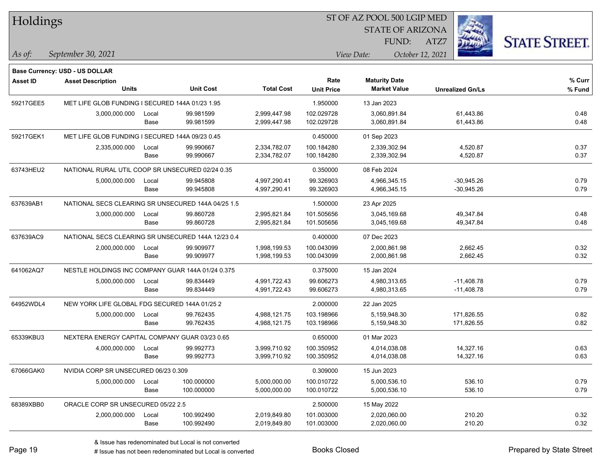| Holdings        |                                                    |       |                  |                   |                           | ST OF AZ POOL 500 LGIP MED                  |                         |                      |
|-----------------|----------------------------------------------------|-------|------------------|-------------------|---------------------------|---------------------------------------------|-------------------------|----------------------|
|                 |                                                    |       |                  |                   |                           | <b>STATE OF ARIZONA</b>                     |                         |                      |
|                 |                                                    |       |                  |                   |                           | FUND:                                       | ATZ7                    | <b>STATE STREET.</b> |
| As of:          | September 30, 2021                                 |       |                  |                   |                           | View Date:                                  | October 12, 2021        |                      |
|                 |                                                    |       |                  |                   |                           |                                             |                         |                      |
|                 | <b>Base Currency: USD - US DOLLAR</b>              |       |                  |                   |                           |                                             |                         |                      |
| <b>Asset ID</b> | <b>Asset Description</b><br><b>Units</b>           |       | <b>Unit Cost</b> | <b>Total Cost</b> | Rate<br><b>Unit Price</b> | <b>Maturity Date</b><br><b>Market Value</b> | <b>Unrealized Gn/Ls</b> | % Curr<br>% Fund     |
|                 |                                                    |       |                  |                   |                           |                                             |                         |                      |
| 59217GEE5       | MET LIFE GLOB FUNDING I SECURED 144A 01/23 1.95    |       |                  |                   | 1.950000                  | 13 Jan 2023                                 |                         |                      |
|                 | 3,000,000.000                                      | Local | 99.981599        | 2,999,447.98      | 102.029728                | 3,060,891.84                                | 61,443.86               | 0.48                 |
|                 |                                                    | Base  | 99.981599        | 2,999,447.98      | 102.029728                | 3,060,891.84                                | 61,443.86               | 0.48                 |
| 59217GEK1       | MET LIFE GLOB FUNDING I SECURED 144A 09/23 0.45    |       |                  |                   | 0.450000                  | 01 Sep 2023                                 |                         |                      |
|                 | 2,335,000.000                                      | Local | 99.990667        | 2,334,782.07      | 100.184280                | 2,339,302.94                                | 4,520.87                | 0.37                 |
|                 |                                                    | Base  | 99.990667        | 2,334,782.07      | 100.184280                | 2,339,302.94                                | 4,520.87                | 0.37                 |
| 63743HEU2       | NATIONAL RURAL UTIL COOP SR UNSECURED 02/24 0.35   |       |                  |                   | 0.350000                  | 08 Feb 2024                                 |                         |                      |
|                 | 5,000,000.000                                      | Local | 99.945808        | 4,997,290.41      | 99.326903                 | 4,966,345.15                                | -30,945.26              | 0.79                 |
|                 |                                                    | Base  | 99.945808        | 4,997,290.41      | 99.326903                 | 4,966,345.15                                | $-30,945.26$            | 0.79                 |
| 637639AB1       | NATIONAL SECS CLEARING SR UNSECURED 144A 04/25 1.5 |       |                  |                   | 1.500000                  | 23 Apr 2025                                 |                         |                      |
|                 | 3,000,000.000                                      | Local | 99.860728        | 2,995,821.84      | 101.505656                | 3,045,169.68                                | 49,347.84               | 0.48                 |
|                 |                                                    | Base  | 99.860728        | 2,995,821.84      | 101.505656                | 3,045,169.68                                | 49,347.84               | 0.48                 |
| 637639AC9       | NATIONAL SECS CLEARING SR UNSECURED 144A 12/23 0.4 |       |                  |                   | 0.400000                  | 07 Dec 2023                                 |                         |                      |
|                 | 2,000,000.000                                      | Local | 99.909977        | 1,998,199.53      | 100.043099                | 2,000,861.98                                | 2,662.45                | 0.32                 |
|                 |                                                    | Base  | 99.909977        | 1,998,199.53      | 100.043099                | 2,000,861.98                                | 2,662.45                | 0.32                 |
| 641062AQ7       | NESTLE HOLDINGS INC COMPANY GUAR 144A 01/24 0.375  |       |                  |                   | 0.375000                  | 15 Jan 2024                                 |                         |                      |
|                 | 5,000,000.000                                      | Local | 99.834449        | 4,991,722.43      | 99.606273                 | 4,980,313.65                                | $-11,408.78$            | 0.79                 |
|                 |                                                    | Base  | 99.834449        | 4,991,722.43      | 99.606273                 | 4,980,313.65                                | $-11,408.78$            | 0.79                 |
| 64952WDL4       | NEW YORK LIFE GLOBAL FDG SECURED 144A 01/25 2      |       |                  |                   | 2.000000                  | 22 Jan 2025                                 |                         |                      |
|                 | 5,000,000.000                                      | Local | 99.762435        | 4,988,121.75      | 103.198966                | 5,159,948.30                                | 171,826.55              | 0.82                 |
|                 |                                                    | Base  | 99.762435        | 4,988,121.75      | 103.198966                | 5,159,948.30                                | 171,826.55              | 0.82                 |
| 65339KBU3       | NEXTERA ENERGY CAPITAL COMPANY GUAR 03/23 0.65     |       |                  |                   | 0.650000                  | 01 Mar 2023                                 |                         |                      |
|                 | 4,000,000.000                                      | Local | 99.992773        | 3,999,710.92      | 100.350952                | 4,014,038.08                                | 14,327.16               | 0.63                 |
|                 |                                                    | Base  | 99.992773        | 3,999,710.92      | 100.350952                | 4,014,038.08                                | 14,327.16               | 0.63                 |
| 67066GAK0       | NVIDIA CORP SR UNSECURED 06/23 0.309               |       |                  |                   | 0.309000                  | 15 Jun 2023                                 |                         |                      |
|                 | 5,000,000.000                                      | Local | 100.000000       | 5,000,000.00      | 100.010722                | 5,000,536.10                                | 536.10                  | 0.79                 |
|                 |                                                    | Base  | 100.000000       | 5,000,000.00      | 100.010722                | 5,000,536.10                                | 536.10                  | 0.79                 |
| 68389XBB0       | ORACLE CORP SR UNSECURED 05/22 2.5                 |       |                  |                   | 2.500000                  | 15 May 2022                                 |                         |                      |
|                 | 2,000,000.000                                      | Local | 100.992490       | 2,019,849.80      | 101.003000                | 2,020,060.00                                | 210.20                  | 0.32                 |
|                 |                                                    | Base  | 100.992490       | 2,019,849.80      | 101.003000                | 2,020,060.00                                | 210.20                  | 0.32                 |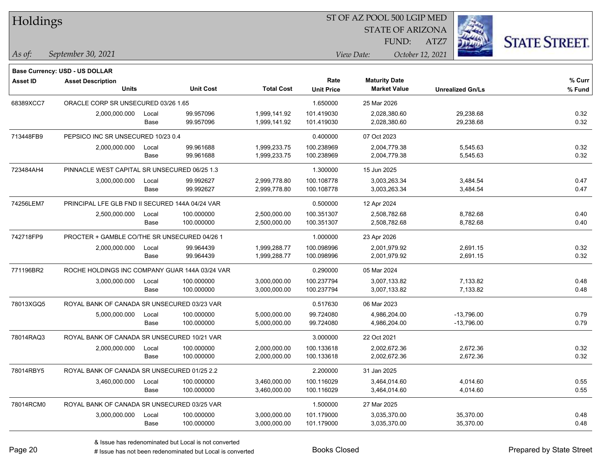| Holdings        |                                                 |                                              |                  |                   |                   | ST OF AZ POOL 500 LGIP MED |                         |                      |
|-----------------|-------------------------------------------------|----------------------------------------------|------------------|-------------------|-------------------|----------------------------|-------------------------|----------------------|
|                 |                                                 |                                              |                  |                   |                   | <b>STATE OF ARIZONA</b>    |                         |                      |
|                 |                                                 |                                              |                  |                   |                   | FUND:                      | ATZ7                    | <b>STATE STREET.</b> |
| As of:          | September 30, 2021                              |                                              |                  |                   |                   | View Date:                 | October 12, 2021        |                      |
|                 | <b>Base Currency: USD - US DOLLAR</b>           |                                              |                  |                   |                   |                            |                         |                      |
| <b>Asset ID</b> | <b>Asset Description</b>                        |                                              |                  |                   | Rate              | <b>Maturity Date</b>       |                         | % Curr               |
|                 | <b>Units</b>                                    |                                              | <b>Unit Cost</b> | <b>Total Cost</b> | <b>Unit Price</b> | <b>Market Value</b>        | <b>Unrealized Gn/Ls</b> | % Fund               |
| 68389XCC7       | ORACLE CORP SR UNSECURED 03/26 1.65             |                                              |                  |                   | 1.650000          | 25 Mar 2026                |                         |                      |
|                 | 2,000,000.000                                   | Local                                        | 99.957096        | 1,999,141.92      | 101.419030        | 2,028,380.60               | 29,238.68               | 0.32                 |
|                 |                                                 | Base                                         | 99.957096        | 1,999,141.92      | 101.419030        | 2,028,380.60               | 29,238.68               | 0.32                 |
| 713448FB9       | PEPSICO INC SR UNSECURED 10/23 0.4              |                                              |                  |                   | 0.400000          | 07 Oct 2023                |                         |                      |
|                 | 2,000,000.000                                   | Local                                        | 99.961688        | 1,999,233.75      | 100.238969        | 2,004,779.38               | 5,545.63                | 0.32                 |
|                 |                                                 | Base                                         | 99.961688        | 1,999,233.75      | 100.238969        | 2,004,779.38               | 5,545.63                | 0.32                 |
| 723484AH4       | PINNACLE WEST CAPITAL SR UNSECURED 06/25 1.3    |                                              |                  |                   | 1.300000          | 15 Jun 2025                |                         |                      |
|                 | 3,000,000.000                                   | Local                                        | 99.992627        | 2,999,778.80      | 100.108778        | 3,003,263.34               | 3,484.54                | 0.47                 |
|                 |                                                 | Base                                         | 99.992627        | 2,999,778.80      | 100.108778        | 3,003,263.34               | 3,484.54                | 0.47                 |
| 74256LEM7       | PRINCIPAL LFE GLB FND II SECURED 144A 04/24 VAR |                                              |                  |                   | 0.500000          | 12 Apr 2024                |                         |                      |
|                 | 2,500,000.000                                   | Local                                        | 100.000000       | 2,500,000.00      | 100.351307        | 2,508,782.68               | 8,782.68                | 0.40                 |
|                 |                                                 | Base                                         | 100.000000       | 2,500,000.00      | 100.351307        | 2,508,782.68               | 8,782.68                | 0.40                 |
| 742718FP9       |                                                 | PROCTER + GAMBLE CO/THE SR UNSECURED 04/26 1 |                  |                   | 1.000000          | 23 Apr 2026                |                         |                      |
|                 | 2,000,000.000                                   | Local                                        | 99.964439        | 1,999,288.77      | 100.098996        | 2,001,979.92               | 2,691.15                | 0.32                 |
|                 |                                                 | Base                                         | 99.964439        | 1,999,288.77      | 100.098996        | 2,001,979.92               | 2,691.15                | 0.32                 |
| 771196BR2       | ROCHE HOLDINGS INC COMPANY GUAR 144A 03/24 VAR  |                                              |                  |                   | 0.290000          | 05 Mar 2024                |                         |                      |
|                 | 3,000,000.000                                   | Local                                        | 100.000000       | 3,000,000.00      | 100.237794        | 3,007,133.82               | 7,133.82                | 0.48                 |
|                 |                                                 | Base                                         | 100.000000       | 3,000,000.00      | 100.237794        | 3,007,133.82               | 7,133.82                | 0.48                 |
| 78013XGQ5       | ROYAL BANK OF CANADA SR UNSECURED 03/23 VAR     |                                              |                  |                   | 0.517630          | 06 Mar 2023                |                         |                      |
|                 | 5,000,000.000                                   | Local                                        | 100.000000       | 5,000,000.00      | 99.724080         | 4,986,204.00               | $-13,796.00$            | 0.79                 |
|                 |                                                 | Base                                         | 100.000000       | 5,000,000.00      | 99.724080         | 4,986,204.00               | $-13,796.00$            | 0.79                 |
| 78014RAQ3       | ROYAL BANK OF CANADA SR UNSECURED 10/21 VAR     |                                              |                  |                   | 3.000000          | 22 Oct 2021                |                         |                      |
|                 | 2,000,000.000                                   | Local                                        | 100.000000       | 2,000,000.00      | 100.133618        | 2,002,672.36               | 2,672.36                | 0.32                 |
|                 |                                                 | Base                                         | 100.000000       | 2,000,000.00      | 100.133618        | 2,002,672.36               | 2,672.36                | 0.32                 |
| 78014RBY5       | ROYAL BANK OF CANADA SR UNSECURED 01/25 2.2     |                                              |                  |                   | 2.200000          | 31 Jan 2025                |                         |                      |
|                 | 3,460,000.000                                   | Local                                        | 100.000000       | 3,460,000.00      | 100.116029        | 3,464,014.60               | 4,014.60                | 0.55                 |
|                 |                                                 | Base                                         | 100.000000       | 3,460,000.00      | 100.116029        | 3,464,014.60               | 4,014.60                | 0.55                 |
| 78014RCM0       | ROYAL BANK OF CANADA SR UNSECURED 03/25 VAR     |                                              |                  |                   | 1.500000          | 27 Mar 2025                |                         |                      |
|                 | 3,000,000.000                                   | Local                                        | 100.000000       | 3,000,000.00      | 101.179000        | 3,035,370.00               | 35,370.00               | 0.48                 |
|                 |                                                 | Base                                         | 100.000000       | 3,000,000.00      | 101.179000        | 3,035,370.00               | 35,370.00               | 0.48                 |

 $\overline{\phantom{a}}$ 

 $\overline{\phantom{a}}$ 

 $\overline{\phantom{a}}$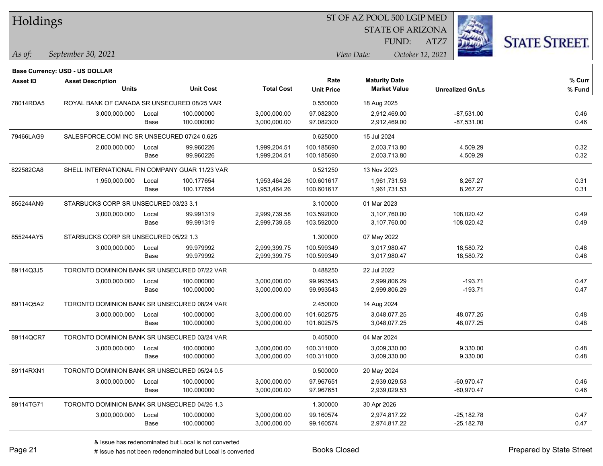| Holdings        |                                                |       |                  |                   |                   | ST OF AZ POOL 500 LGIP MED |                         |                      |  |  |
|-----------------|------------------------------------------------|-------|------------------|-------------------|-------------------|----------------------------|-------------------------|----------------------|--|--|
|                 |                                                |       |                  |                   |                   | <b>STATE OF ARIZONA</b>    |                         |                      |  |  |
|                 |                                                |       |                  |                   |                   | FUND:                      | ATZ7                    | <b>STATE STREET.</b> |  |  |
| As of:          | September 30, 2021                             |       |                  |                   |                   | View Date:                 | October 12, 2021        |                      |  |  |
|                 | <b>Base Currency: USD - US DOLLAR</b>          |       |                  |                   |                   |                            |                         |                      |  |  |
| <b>Asset ID</b> | <b>Asset Description</b>                       |       |                  |                   | Rate              | <b>Maturity Date</b>       |                         | % Curr               |  |  |
|                 | <b>Units</b>                                   |       | <b>Unit Cost</b> | <b>Total Cost</b> | <b>Unit Price</b> | <b>Market Value</b>        | <b>Unrealized Gn/Ls</b> | % Fund               |  |  |
| 78014RDA5       | ROYAL BANK OF CANADA SR UNSECURED 08/25 VAR    |       |                  |                   | 0.550000          | 18 Aug 2025                |                         |                      |  |  |
|                 | 3,000,000.000                                  | Local | 100.000000       | 3,000,000.00      | 97.082300         | 2,912,469.00               | $-87,531.00$            | 0.46                 |  |  |
|                 |                                                | Base  | 100.000000       | 3,000,000.00      | 97.082300         | 2,912,469.00               | $-87,531.00$            | 0.46                 |  |  |
| 79466LAG9       | SALESFORCE.COM INC SR UNSECURED 07/24 0.625    |       |                  |                   | 0.625000          | 15 Jul 2024                |                         |                      |  |  |
|                 | 2,000,000.000                                  | Local | 99.960226        | 1,999,204.51      | 100.185690        | 2,003,713.80               | 4,509.29                | 0.32                 |  |  |
|                 |                                                | Base  | 99.960226        | 1,999,204.51      | 100.185690        | 2,003,713.80               | 4,509.29                | 0.32                 |  |  |
| 822582CA8       | SHELL INTERNATIONAL FIN COMPANY GUAR 11/23 VAR |       |                  |                   | 0.521250          | 13 Nov 2023                |                         |                      |  |  |
|                 | 1,950,000.000                                  | Local | 100.177654       | 1,953,464.26      | 100.601617        | 1,961,731.53               | 8,267.27                | 0.31                 |  |  |
|                 |                                                | Base  | 100.177654       | 1,953,464.26      | 100.601617        | 1,961,731.53               | 8,267.27                | 0.31                 |  |  |
| 855244AN9       | STARBUCKS CORP SR UNSECURED 03/23 3.1          |       |                  |                   | 3.100000          | 01 Mar 2023                |                         |                      |  |  |
|                 | 3,000,000.000                                  | Local | 99.991319        | 2,999,739.58      | 103.592000        | 3,107,760.00               | 108,020.42              | 0.49                 |  |  |
|                 |                                                | Base  | 99.991319        | 2,999,739.58      | 103.592000        | 3,107,760.00               | 108,020.42              | 0.49                 |  |  |
| 855244AY5       | STARBUCKS CORP SR UNSECURED 05/22 1.3          |       |                  |                   | 1.300000          | 07 May 2022                |                         |                      |  |  |
|                 | 3,000,000.000                                  | Local | 99.979992        | 2,999,399.75      | 100.599349        | 3,017,980.47               | 18,580.72               | 0.48                 |  |  |
|                 |                                                | Base  | 99.979992        | 2,999,399.75      | 100.599349        | 3,017,980.47               | 18,580.72               | 0.48                 |  |  |
| 89114Q3J5       | TORONTO DOMINION BANK SR UNSECURED 07/22 VAR   |       |                  |                   | 0.488250          | 22 Jul 2022                |                         |                      |  |  |
|                 | 3,000,000.000                                  | Local | 100.000000       | 3,000,000.00      | 99.993543         | 2,999,806.29               | $-193.71$               | 0.47                 |  |  |
|                 |                                                | Base  | 100.000000       | 3,000,000.00      | 99.993543         | 2,999,806.29               | $-193.71$               | 0.47                 |  |  |
| 89114Q5A2       | TORONTO DOMINION BANK SR UNSECURED 08/24 VAR   |       |                  |                   | 2.450000          | 14 Aug 2024                |                         |                      |  |  |
|                 | 3,000,000.000                                  | Local | 100.000000       | 3,000,000.00      | 101.602575        | 3,048,077.25               | 48,077.25               | 0.48                 |  |  |
|                 |                                                | Base  | 100.000000       | 3,000,000.00      | 101.602575        | 3,048,077.25               | 48,077.25               | 0.48                 |  |  |
| 89114QCR7       | TORONTO DOMINION BANK SR UNSECURED 03/24 VAR   |       |                  |                   | 0.405000          | 04 Mar 2024                |                         |                      |  |  |
|                 | 3,000,000.000                                  | Local | 100.000000       | 3,000,000.00      | 100.311000        | 3,009,330.00               | 9,330.00                | 0.48                 |  |  |
|                 |                                                | Base  | 100.000000       | 3,000,000.00      | 100.311000        | 3,009,330.00               | 9,330.00                | 0.48                 |  |  |
| 89114RXN1       | TORONTO DOMINION BANK SR UNSECURED 05/24 0.5   |       |                  |                   | 0.500000          | 20 May 2024                |                         |                      |  |  |
|                 | 3,000,000.000                                  | Local | 100.000000       | 3,000,000.00      | 97.967651         | 2,939,029.53               | $-60,970.47$            | 0.46                 |  |  |
|                 |                                                | Base  | 100.000000       | 3,000,000.00      | 97.967651         | 2,939,029.53               | $-60,970.47$            | 0.46                 |  |  |
| 89114TG71       | TORONTO DOMINION BANK SR UNSECURED 04/26 1.3   |       |                  |                   | 1.300000          | 30 Apr 2026                |                         |                      |  |  |
|                 | 3,000,000.000                                  | Local | 100.000000       | 3,000,000.00      | 99.160574         | 2,974,817.22               | $-25,182.78$            | 0.47                 |  |  |
|                 |                                                | Base  | 100.000000       | 3,000,000.00      | 99.160574         | 2,974,817.22               | $-25,182.78$            | 0.47                 |  |  |

 $\mathbf{H}$   $\mathbf{H}$   $\mathbf{H}$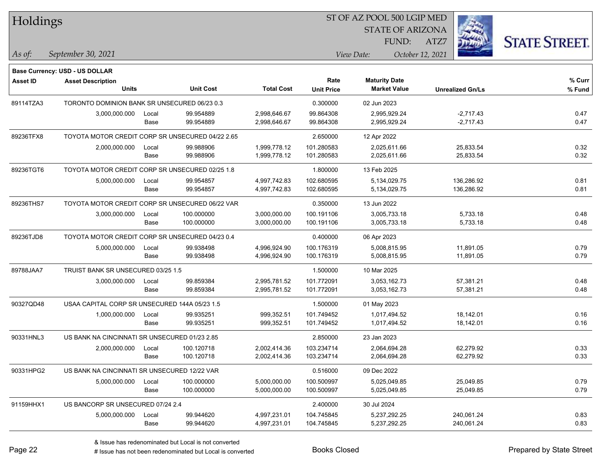| Holdings        |                                                  |       |                  |                   | ST OF AZ POOL 500 LGIP MED |                      |                         |      |                         |                      |
|-----------------|--------------------------------------------------|-------|------------------|-------------------|----------------------------|----------------------|-------------------------|------|-------------------------|----------------------|
|                 |                                                  |       |                  |                   |                            |                      | <b>STATE OF ARIZONA</b> |      |                         |                      |
|                 |                                                  |       |                  |                   |                            |                      | FUND:                   | ATZ7 |                         | <b>STATE STREET.</b> |
| As of:          | September 30, 2021                               |       |                  |                   |                            | View Date:           | October 12, 2021        |      |                         |                      |
|                 | Base Currency: USD - US DOLLAR                   |       |                  |                   |                            |                      |                         |      |                         |                      |
| <b>Asset ID</b> | <b>Asset Description</b>                         |       |                  |                   | Rate                       | <b>Maturity Date</b> |                         |      |                         | % Curr               |
|                 | <b>Units</b>                                     |       | <b>Unit Cost</b> | <b>Total Cost</b> | <b>Unit Price</b>          |                      | <b>Market Value</b>     |      | <b>Unrealized Gn/Ls</b> | % Fund               |
| 89114TZA3       | TORONTO DOMINION BANK SR UNSECURED 06/23 0.3     |       |                  |                   | 0.300000                   | 02 Jun 2023          |                         |      |                         |                      |
|                 | 3,000,000.000                                    | Local | 99.954889        | 2,998,646.67      | 99.864308                  |                      | 2,995,929.24            |      | $-2,717.43$             | 0.47                 |
|                 |                                                  | Base  | 99.954889        | 2,998,646.67      | 99.864308                  |                      | 2,995,929.24            |      | $-2,717.43$             | 0.47                 |
| 89236TFX8       | TOYOTA MOTOR CREDIT CORP SR UNSECURED 04/22 2.65 |       |                  |                   | 2.650000                   | 12 Apr 2022          |                         |      |                         |                      |
|                 | 2,000,000.000                                    | Local | 99.988906        | 1,999,778.12      | 101.280583                 |                      | 2,025,611.66            |      | 25,833.54               | 0.32                 |
|                 |                                                  | Base  | 99.988906        | 1,999,778.12      | 101.280583                 |                      | 2,025,611.66            |      | 25,833.54               | 0.32                 |
| 89236TGT6       | TOYOTA MOTOR CREDIT CORP SR UNSECURED 02/25 1.8  |       |                  |                   | 1.800000                   | 13 Feb 2025          |                         |      |                         |                      |
|                 | 5,000,000.000                                    | Local | 99.954857        | 4,997,742.83      | 102.680595                 |                      | 5,134,029.75            |      | 136,286.92              | 0.81                 |
|                 |                                                  | Base  | 99.954857        | 4,997,742.83      | 102.680595                 |                      | 5,134,029.75            |      | 136,286.92              | 0.81                 |
| 89236THS7       | TOYOTA MOTOR CREDIT CORP SR UNSECURED 06/22 VAR  |       |                  |                   | 0.350000                   | 13 Jun 2022          |                         |      |                         |                      |
|                 | 3,000,000.000                                    | Local | 100.000000       | 3,000,000.00      | 100.191106                 |                      | 3,005,733.18            |      | 5,733.18                | 0.48                 |
|                 |                                                  | Base  | 100.000000       | 3,000,000.00      | 100.191106                 |                      | 3,005,733.18            |      | 5,733.18                | 0.48                 |
| 89236TJD8       | TOYOTA MOTOR CREDIT CORP SR UNSECURED 04/23 0.4  |       |                  |                   | 0.400000                   | 06 Apr 2023          |                         |      |                         |                      |
|                 | 5,000,000.000                                    | Local | 99.938498        | 4,996,924.90      | 100.176319                 |                      | 5,008,815.95            |      | 11,891.05               | 0.79                 |
|                 |                                                  | Base  | 99.938498        | 4,996,924.90      | 100.176319                 |                      | 5,008,815.95            |      | 11,891.05               | 0.79                 |
| 89788JAA7       | TRUIST BANK SR UNSECURED 03/25 1.5               |       |                  |                   | 1.500000                   | 10 Mar 2025          |                         |      |                         |                      |
|                 | 3,000,000.000                                    | Local | 99.859384        | 2,995,781.52      | 101.772091                 |                      | 3,053,162.73            |      | 57,381.21               | 0.48                 |
|                 |                                                  | Base  | 99.859384        | 2,995,781.52      | 101.772091                 |                      | 3,053,162.73            |      | 57,381.21               | 0.48                 |
| 90327QD48       | USAA CAPITAL CORP SR UNSECURED 144A 05/23 1.5    |       |                  |                   | 1.500000                   | 01 May 2023          |                         |      |                         |                      |
|                 | 1,000,000.000                                    | Local | 99.935251        | 999,352.51        | 101.749452                 |                      | 1,017,494.52            |      | 18,142.01               | 0.16                 |
|                 |                                                  | Base  | 99.935251        | 999,352.51        | 101.749452                 |                      | 1,017,494.52            |      | 18,142.01               | 0.16                 |
| 90331HNL3       | US BANK NA CINCINNATI SR UNSECURED 01/23 2.85    |       |                  |                   | 2.850000                   | 23 Jan 2023          |                         |      |                         |                      |
|                 | 2,000,000.000                                    | Local | 100.120718       | 2,002,414.36      | 103.234714                 |                      | 2,064,694.28            |      | 62,279.92               | 0.33                 |
|                 |                                                  | Base  | 100.120718       | 2,002,414.36      | 103.234714                 |                      | 2,064,694.28            |      | 62,279.92               | 0.33                 |
| 90331HPG2       | US BANK NA CINCINNATI SR UNSECURED 12/22 VAR     |       |                  |                   | 0.516000                   | 09 Dec 2022          |                         |      |                         |                      |
|                 | 5,000,000.000                                    | Local | 100.000000       | 5,000,000.00      | 100.500997                 |                      | 5,025,049.85            |      | 25,049.85               | 0.79                 |
|                 |                                                  | Base  | 100.000000       | 5,000,000.00      | 100.500997                 |                      | 5,025,049.85            |      | 25,049.85               | 0.79                 |
| 91159HHX1       | US BANCORP SR UNSECURED 07/24 2.4                |       |                  |                   | 2.400000                   | 30 Jul 2024          |                         |      |                         |                      |
|                 | 5,000,000.000                                    | Local | 99.944620        | 4,997,231.01      | 104.745845                 |                      | 5,237,292.25            |      | 240,061.24              | 0.83                 |
|                 |                                                  | Base  | 99.944620        | 4,997,231.01      | 104.745845                 |                      | 5,237,292.25            |      | 240,061.24              | 0.83                 |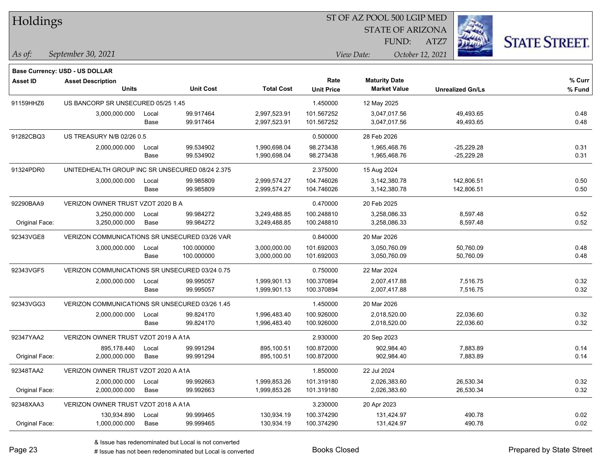| Holdings  |                                       |       |                  |                   |                   | ST OF AZ POOL 500 LGIP MED |                  |
|-----------|---------------------------------------|-------|------------------|-------------------|-------------------|----------------------------|------------------|
|           |                                       |       |                  |                   |                   | <b>STATE OF ARIZONA</b>    |                  |
|           |                                       |       |                  |                   |                   | FUND:                      | ATZ7             |
| As of:    | September 30, 2021                    |       |                  |                   |                   | View Date:                 | October 12, 2021 |
|           | <b>Base Currency: USD - US DOLLAR</b> |       |                  |                   |                   |                            |                  |
| Asset ID  | <b>Asset Description</b>              |       |                  |                   | Rate              | <b>Maturity Date</b>       |                  |
|           | <b>Units</b>                          |       | <b>Unit Cost</b> | <b>Total Cost</b> | <b>Unit Price</b> | <b>Market Value</b>        | Unr              |
| 91159HHZ6 | US BANCORP SR UNSECURED 05/25 1.45    |       |                  |                   | 1.450000          | 12 May 2025                |                  |
|           | 3,000,000.000                         | Local | 99.917464        | 2,997,523.91      | 101.567252        | 3,047,017.56               |                  |
|           |                                       | Base  | 99.917464        | 2,997,523.91      | 101.567252        | 3,047,017.56               |                  |
| 91282CBQ3 | US TREASURY N/B 02/26 0.5             |       |                  |                   | 0.500000          | 28 Feb 2026                |                  |
|           | 2,000,000.000                         | Local | 99.534902        | 1,990,698.04      | 98.273438         | 1,965,468.76               |                  |
|           |                                       | Base  | 99.534902        | 1,990,698.04      | 98.273438         | 1,965,468.76               |                  |
|           |                                       |       |                  |                   |                   |                            |                  |

## **% Fund Units Unit Cost Total Cost Unit Price Market Value Unrealized Gn/Ls % Curr** 3,000,000.000 Local 99.917464 2,997,523.91 101.567252 3,047,017.56 49,493.65 0.48 Base 99.917464 2,997,523.91 101.567252 3,047,017.56 49,493.65 0.48 2,000,000.000 Local 99.534902 1,990,698.04 98.273438 1,965,468.76 -25,229.28 0.31 Base 99.534902 1,990,698.04 98.273438 1,965,468.76 -25,229.28 0.31 91324PDR0 UNITEDHEALTH GROUP INC SR UNSECURED 08/24 2.375 2.375000 15 Aug 2024 3,000,000.000 Local 99.985809 2,999,574.27 104.746026 3,142,380.78 142,806.51 0.50 Base 99.985809 2,999,574.27 104.746026 3,142,380.78 142,806.51 0.50 92290BAA9 VERIZON OWNER TRUST VZOT 2020 B A 0.470000 0.470000 20 Feb 2025 3,250,000.000 Local 99.984272 3,249,488.85 100.248810 3,258,086.33 8,597.48 0.52 Original Face: 3,250,000.000 Base 99.984272 3,249,488.85 100.248810 3,258,086.33 8,597.48 0.52 92343VGE8 VERIZON COMMUNICATIONS SR UNSECURED 03/26 VAR 0.840000 20 Mar 2026 3,000,000.000 Local 100.000000 3,000,000.00 101.692003 3,050,760.09 50,760.09 0.48 Base 100.000000 3,000,000.00 101.692003 3,050,760.09 50,760.09 0.48 92343VGF5 VERIZON COMMUNICATIONS SR UNSECURED 03/24 0.75 0.750000 22 Mar 2024 2,000,000.000 Local 99.995057 1,999,901.13 100.370894 2,007,417.88 7,516.75 0.32 Base 99.995057 1,999,901.13 100.370894 2,007,417.88 7,516.75 0.32 92343VGG3 VERIZON COMMUNICATIONS SR UNSECURED 03/26 1.45 1.45 1.450000 20 Mar 2026 2,000,000.000 Local 99.824170 1,996,483.40 100.926000 2,018,520.00 22,036.60 0.32 Base 99.824170 1,996,483.40 100.926000 2,018,520.00 22,036.60 0.32 92347YAA2 VERIZON OWNER TRUST VZOT 2019 A A1A 2.9330000 20 Sep 2023

| 902.984.40<br>99.991294<br>100.872000<br>7,883.89<br>895.178.440<br>895,100.51<br>Local                         | 0.14 |
|-----------------------------------------------------------------------------------------------------------------|------|
|                                                                                                                 |      |
| 902.984.40<br>Original Face:<br>99.991294<br>7,883.89<br>2,000,000.000<br>100.872000<br>895,100.51<br>Base      | 0.14 |
| 92348TAA2<br>VERIZON OWNER TRUST VZOT 2020 A A1A<br>1.850000<br>22 Jul 2024                                     |      |
| 99.992663<br>2,026,383.60<br>2,000,000.000<br>1,999,853.26<br>101.319180<br>26,530.34<br>Local                  | 0.32 |
| Original Face:<br>99.992663<br>2,026,383.60<br>2.000.000.000<br>1,999,853.26<br>26.530.34<br>101.319180<br>Base | 0.32 |
| 3.230000<br>92348XAA3<br>VERIZON OWNER TRUST VZOT 2018 A A1A<br>20 Apr 2023                                     |      |
| 100.374290<br>131.424.97<br>490.78<br>130.934.890<br>99.999465<br>130.934.19<br>Local                           | 0.02 |
| Original Face:<br>490.78<br>99.999465<br>130,934.19<br>100.374290<br>131,424.97<br>1,000,000.000<br>Base        | 0.02 |

**STATE STREET.**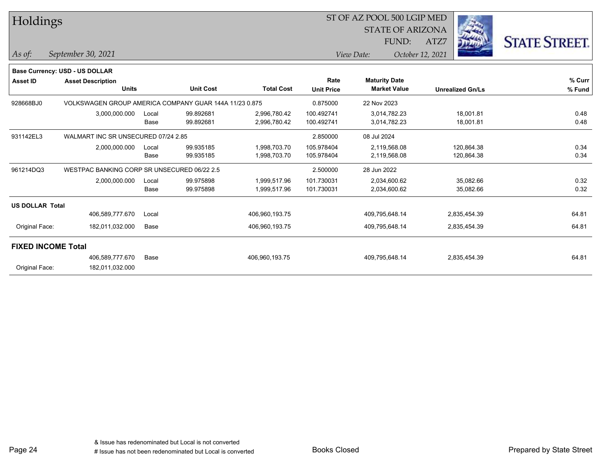| Holdings                  |                                                        |       |                  |                   |                   | ST OF AZ POOL 500 LGIP MED<br><b>STATE OF ARIZONA</b> |                         |                      |  |
|---------------------------|--------------------------------------------------------|-------|------------------|-------------------|-------------------|-------------------------------------------------------|-------------------------|----------------------|--|
|                           |                                                        |       |                  |                   |                   | FUND:                                                 | ATZ7                    | <b>STATE STREET.</b> |  |
| $\vert$ As of:            | September 30, 2021                                     |       |                  |                   |                   | View Date:                                            | October 12, 2021        |                      |  |
|                           | <b>Base Currency: USD - US DOLLAR</b>                  |       |                  |                   |                   |                                                       |                         |                      |  |
| <b>Asset ID</b>           | <b>Asset Description</b>                               |       |                  |                   | Rate              | <b>Maturity Date</b>                                  |                         | % Curr               |  |
|                           | <b>Units</b>                                           |       | <b>Unit Cost</b> | <b>Total Cost</b> | <b>Unit Price</b> | <b>Market Value</b>                                   | <b>Unrealized Gn/Ls</b> | % Fund               |  |
| 928668BJ0                 | VOLKSWAGEN GROUP AMERICA COMPANY GUAR 144A 11/23 0.875 |       |                  |                   | 0.875000          | 22 Nov 2023                                           |                         |                      |  |
|                           | 3,000,000.000                                          | Local | 99.892681        | 2,996,780.42      | 100.492741        | 3,014,782.23                                          | 18,001.81               | 0.48                 |  |
|                           |                                                        | Base  | 99.892681        | 2,996,780.42      | 100.492741        | 3,014,782.23                                          | 18,001.81               | 0.48                 |  |
| 931142EL3                 | WALMART INC SR UNSECURED 07/24 2.85                    |       |                  |                   | 2.850000          | 08 Jul 2024                                           |                         |                      |  |
|                           | 2,000,000.000                                          | Local | 99.935185        | 1,998,703.70      | 105.978404        | 2,119,568.08                                          | 120,864.38              | 0.34                 |  |
|                           |                                                        | Base  | 99.935185        | 1,998,703.70      | 105.978404        | 2,119,568.08                                          | 120,864.38              | 0.34                 |  |
| 961214DQ3                 | WESTPAC BANKING CORP SR UNSECURED 06/22 2.5            |       |                  |                   | 2.500000          | 28 Jun 2022                                           |                         |                      |  |
|                           | 2,000,000.000                                          | Local | 99.975898        | 1,999,517.96      | 101.730031        | 2,034,600.62                                          | 35,082.66               | 0.32                 |  |
|                           |                                                        | Base  | 99.975898        | 1,999,517.96      | 101.730031        | 2,034,600.62                                          | 35,082.66               | 0.32                 |  |
| <b>US DOLLAR Total</b>    |                                                        |       |                  |                   |                   |                                                       |                         |                      |  |
|                           | 406,589,777.670                                        | Local |                  | 406,960,193.75    |                   | 409,795,648.14                                        | 2,835,454.39            | 64.81                |  |
| Original Face:            | 182,011,032.000                                        | Base  |                  | 406,960,193.75    |                   | 409,795,648.14                                        | 2,835,454.39            | 64.81                |  |
| <b>FIXED INCOME Total</b> |                                                        |       |                  |                   |                   |                                                       |                         |                      |  |
|                           | 406,589,777.670                                        | Base  |                  | 406,960,193.75    |                   | 409,795,648.14                                        | 2,835,454.39            | 64.81                |  |
| Original Face:            | 182,011,032.000                                        |       |                  |                   |                   |                                                       |                         |                      |  |

Page 24

٦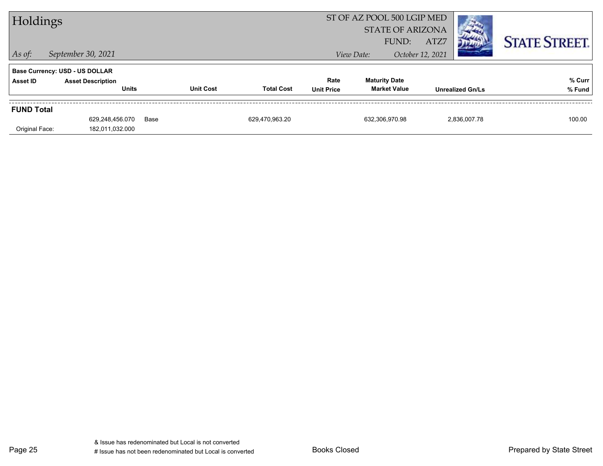| Holdings                            |                                                                                   |                  |                   |                           | ST OF AZ POOL 500 LGIP MED                  | <b>STATE OF ARIZONA</b>  |                         |                      |
|-------------------------------------|-----------------------------------------------------------------------------------|------------------|-------------------|---------------------------|---------------------------------------------|--------------------------|-------------------------|----------------------|
| $\vert$ As of:                      | September 30, 2021                                                                |                  |                   |                           | FUND:<br>View Date:                         | ATZ7<br>October 12, 2021 |                         | <b>STATE STREET.</b> |
| Asset ID                            | <b>Base Currency: USD - US DOLLAR</b><br><b>Asset Description</b><br><b>Units</b> | <b>Unit Cost</b> | <b>Total Cost</b> | Rate<br><b>Unit Price</b> | <b>Maturity Date</b><br><b>Market Value</b> |                          | <b>Unrealized Gn/Ls</b> | % Curr<br>% Fund     |
| <b>FUND Total</b><br>Original Face: | 629.248.456.070<br>182,011,032.000                                                | Base             | 629.470.963.20    |                           | 632.306.970.98                              |                          | 2.836.007.78            | 100.00               |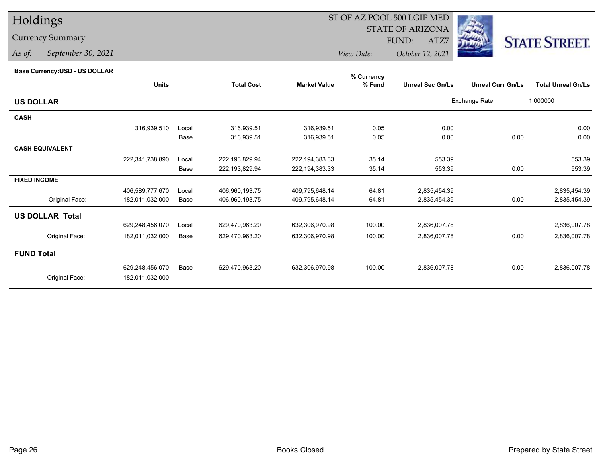# Holdings

## Currency Summary

*As of: September 30, 2021*

## ST OF AZ POOL 500 LGIP MED

 STATE OF ARIZONAFUND:

ATZ7



*View Date:October 12, 2021*

#### **Base Currency:USD - US DOLLAR**

|                        |                 |       |                   |                     | % Currency |                         |                          |                           |
|------------------------|-----------------|-------|-------------------|---------------------|------------|-------------------------|--------------------------|---------------------------|
|                        | <b>Units</b>    |       | <b>Total Cost</b> | <b>Market Value</b> | % Fund     | <b>Unreal Sec Gn/Ls</b> | <b>Unreal Curr Gn/Ls</b> | <b>Total Unreal Gn/Ls</b> |
| <b>US DOLLAR</b>       |                 |       |                   |                     |            |                         | Exchange Rate:           | 1.000000                  |
| <b>CASH</b>            |                 |       |                   |                     |            |                         |                          |                           |
|                        | 316,939.510     | Local | 316,939.51        | 316,939.51          | 0.05       | 0.00                    |                          | 0.00                      |
|                        |                 | Base  | 316,939.51        | 316,939.51          | 0.05       | 0.00                    | 0.00                     | 0.00                      |
| <b>CASH EQUIVALENT</b> |                 |       |                   |                     |            |                         |                          |                           |
|                        | 222,341,738.890 | Local | 222,193,829.94    | 222, 194, 383. 33   | 35.14      | 553.39                  |                          | 553.39                    |
|                        |                 | Base  | 222,193,829.94    | 222, 194, 383. 33   | 35.14      | 553.39                  | 0.00                     | 553.39                    |
| <b>FIXED INCOME</b>    |                 |       |                   |                     |            |                         |                          |                           |
|                        | 406,589,777.670 | Local | 406,960,193.75    | 409,795,648.14      | 64.81      | 2,835,454.39            |                          | 2,835,454.39              |
| Original Face:         | 182,011,032.000 | Base  | 406,960,193.75    | 409,795,648.14      | 64.81      | 2,835,454.39            | 0.00                     | 2,835,454.39              |
| <b>US DOLLAR Total</b> |                 |       |                   |                     |            |                         |                          |                           |
|                        | 629,248,456.070 | Local | 629,470,963.20    | 632,306,970.98      | 100.00     | 2,836,007.78            |                          | 2,836,007.78              |
| Original Face:         | 182,011,032.000 | Base  | 629,470,963.20    | 632,306,970.98      | 100.00     | 2,836,007.78            | 0.00                     | 2,836,007.78              |
| <b>FUND Total</b>      |                 |       |                   |                     |            |                         |                          |                           |
|                        | 629,248,456.070 | Base  | 629,470,963.20    | 632,306,970.98      | 100.00     | 2,836,007.78            | 0.00                     | 2,836,007.78              |
| Original Face:         | 182,011,032.000 |       |                   |                     |            |                         |                          |                           |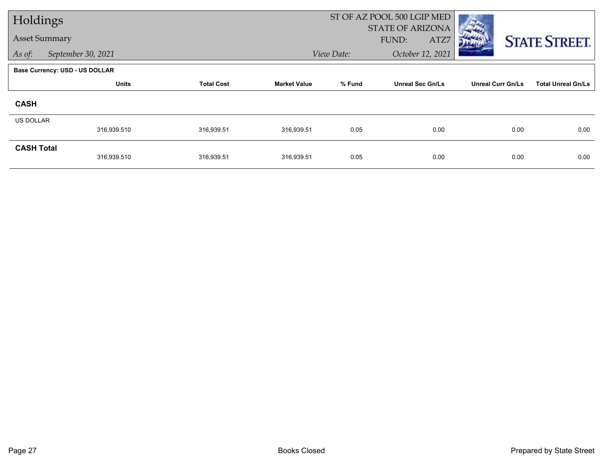| Holdings             |                                       |                   |                     |            | ST OF AZ POOL 500 LGIP MED |                          |                           |
|----------------------|---------------------------------------|-------------------|---------------------|------------|----------------------------|--------------------------|---------------------------|
| <b>Asset Summary</b> |                                       |                   |                     |            | <b>STATE OF ARIZONA</b>    |                          |                           |
|                      |                                       |                   |                     |            | ATZ7<br>FUND:              |                          | <b>STATE STREET.</b>      |
| As of:               | September 30, 2021                    |                   |                     | View Date: | October 12, 2021           |                          |                           |
|                      | <b>Base Currency: USD - US DOLLAR</b> |                   |                     |            |                            |                          |                           |
|                      | <b>Units</b>                          | <b>Total Cost</b> | <b>Market Value</b> | % Fund     | <b>Unreal Sec Gn/Ls</b>    | <b>Unreal Curr Gn/Ls</b> | <b>Total Unreal Gn/Ls</b> |
| <b>CASH</b>          |                                       |                   |                     |            |                            |                          |                           |
| <b>US DOLLAR</b>     |                                       |                   |                     |            |                            |                          |                           |
|                      | 316,939.510                           | 316,939.51        | 316,939.51          | 0.05       | 0.00                       | 0.00                     | 0.00                      |
| <b>CASH Total</b>    |                                       |                   |                     |            |                            |                          |                           |
|                      | 316,939.510                           | 316,939.51        | 316,939.51          | 0.05       | 0.00                       | 0.00                     | 0.00                      |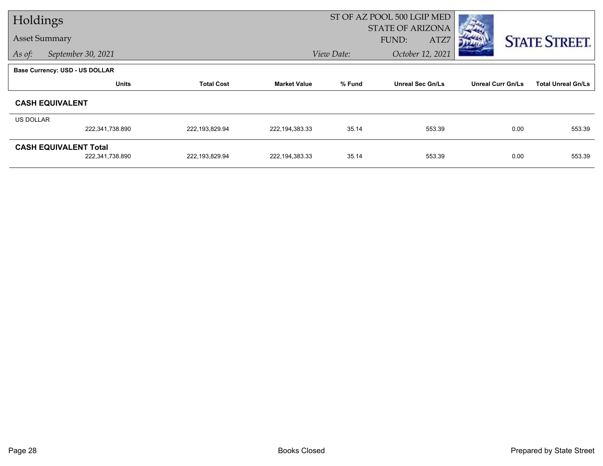| Holdings                              |                 |                   | ST OF AZ POOL 500 LGIP MED |            |                         |                          |                           |
|---------------------------------------|-----------------|-------------------|----------------------------|------------|-------------------------|--------------------------|---------------------------|
|                                       |                 |                   |                            |            | <b>STATE OF ARIZONA</b> |                          |                           |
| <b>Asset Summary</b>                  |                 |                   |                            |            | FUND:<br>ATZ7           |                          | <b>STATE STREET.</b>      |
| September 30, 2021<br>As of:          |                 |                   |                            | View Date: | October 12, 2021        |                          |                           |
| <b>Base Currency: USD - US DOLLAR</b> |                 |                   |                            |            |                         |                          |                           |
|                                       | <b>Units</b>    | <b>Total Cost</b> | <b>Market Value</b>        | % Fund     | <b>Unreal Sec Gn/Ls</b> | <b>Unreal Curr Gn/Ls</b> | <b>Total Unreal Gn/Ls</b> |
| <b>CASH EQUIVALENT</b>                |                 |                   |                            |            |                         |                          |                           |
| <b>US DOLLAR</b>                      |                 |                   |                            |            |                         |                          |                           |
|                                       | 222,341,738.890 | 222,193,829.94    | 222, 194, 383. 33          | 35.14      | 553.39                  | 0.00                     | 553.39                    |
| <b>CASH EQUIVALENT Total</b>          |                 |                   |                            |            |                         |                          |                           |
|                                       | 222,341,738.890 | 222,193,829.94    | 222, 194, 383. 33          | 35.14      | 553.39                  | 0.00                     | 553.39                    |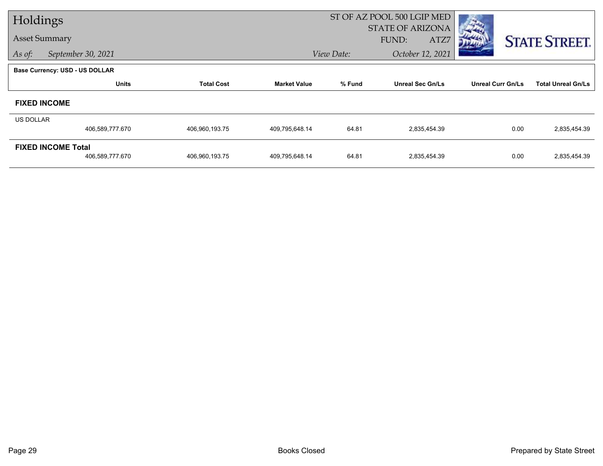| Holdings             |                                       |                   |                     | ST OF AZ POOL 500 LGIP MED |                                          |                          |                           |
|----------------------|---------------------------------------|-------------------|---------------------|----------------------------|------------------------------------------|--------------------------|---------------------------|
| <b>Asset Summary</b> |                                       |                   |                     |                            | <b>STATE OF ARIZONA</b><br>FUND:<br>ATZ7 |                          |                           |
| As of:               | September 30, 2021                    |                   |                     | View Date:                 | October 12, 2021                         |                          | <b>STATE STREET.</b>      |
|                      |                                       |                   |                     |                            |                                          |                          |                           |
|                      | <b>Base Currency: USD - US DOLLAR</b> |                   |                     |                            |                                          |                          |                           |
|                      | <b>Units</b>                          | <b>Total Cost</b> | <b>Market Value</b> | % Fund                     | <b>Unreal Sec Gn/Ls</b>                  | <b>Unreal Curr Gn/Ls</b> | <b>Total Unreal Gn/Ls</b> |
|                      | <b>FIXED INCOME</b>                   |                   |                     |                            |                                          |                          |                           |
| <b>US DOLLAR</b>     |                                       |                   |                     |                            |                                          |                          |                           |
|                      | 406,589,777.670                       | 406,960,193.75    | 409,795,648.14      | 64.81                      | 2,835,454.39                             | 0.00                     | 2,835,454.39              |
|                      | <b>FIXED INCOME Total</b>             |                   |                     |                            |                                          |                          |                           |
|                      | 406,589,777.670                       | 406,960,193.75    | 409,795,648.14      | 64.81                      | 2,835,454.39                             | 0.00                     | 2,835,454.39              |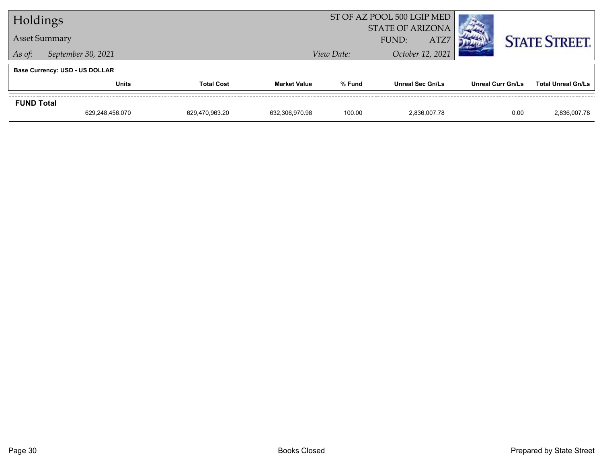| Holdings             |                                       |                |                | ST OF AZ POOL 500 LGIP MED |                         |                          |                           |
|----------------------|---------------------------------------|----------------|----------------|----------------------------|-------------------------|--------------------------|---------------------------|
|                      |                                       |                |                | <b>STATE OF ARIZONA</b>    |                         |                          |                           |
| <b>Asset Summary</b> |                                       |                |                | ATZ7<br>FUND:              |                         |                          | <b>STATE STREET.</b>      |
| As of:               | September 30, 2021                    |                |                | View Date:                 | October 12, 2021        |                          |                           |
|                      | <b>Base Currency: USD - US DOLLAR</b> |                |                |                            |                         |                          |                           |
|                      | <b>Units</b><br><b>Total Cost</b>     |                |                | % Fund                     | <b>Unreal Sec Gn/Ls</b> | <b>Unreal Curr Gn/Ls</b> | <b>Total Unreal Gn/Ls</b> |
| <b>FUND Total</b>    |                                       |                |                |                            |                         |                          |                           |
|                      | 629,248,456.070                       | 629,470,963.20 | 632,306,970.98 | 100.00                     | 2.836.007.78            | 0.00                     | 2,836,007.78              |